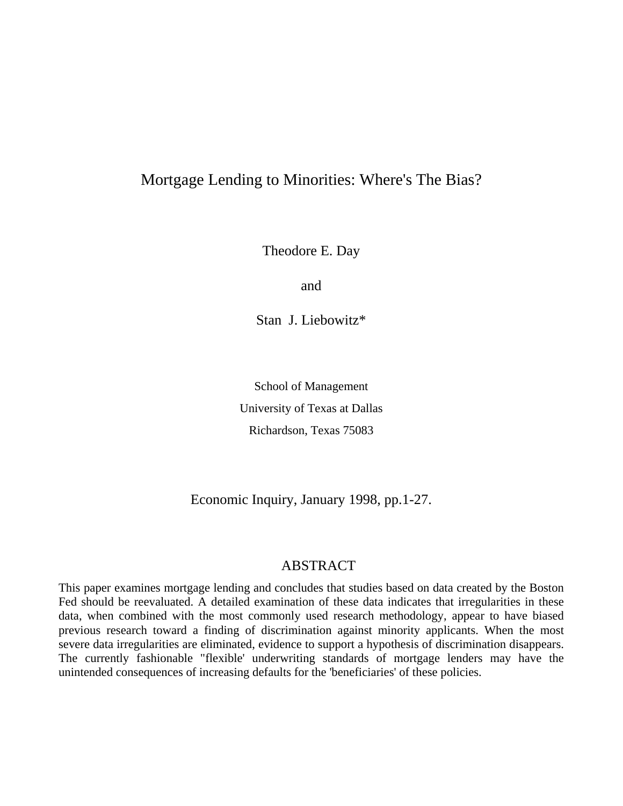# Mortgage Lending to Minorities: Where's The Bias?

Theodore E. Day

and

Stan J. Liebowitz\*

School of Management University of Texas at Dallas Richardson, Texas 75083

Economic Inquiry, January 1998, pp.1-27.

### ABSTRACT

This paper examines mortgage lending and concludes that studies based on data created by the Boston Fed should be reevaluated. A detailed examination of these data indicates that irregularities in these data, when combined with the most commonly used research methodology, appear to have biased previous research toward a finding of discrimination against minority applicants. When the most severe data irregularities are eliminated, evidence to support a hypothesis of discrimination disappears. The currently fashionable "flexible' underwriting standards of mortgage lenders may have the unintended consequences of increasing defaults for the 'beneficiaries' of these policies.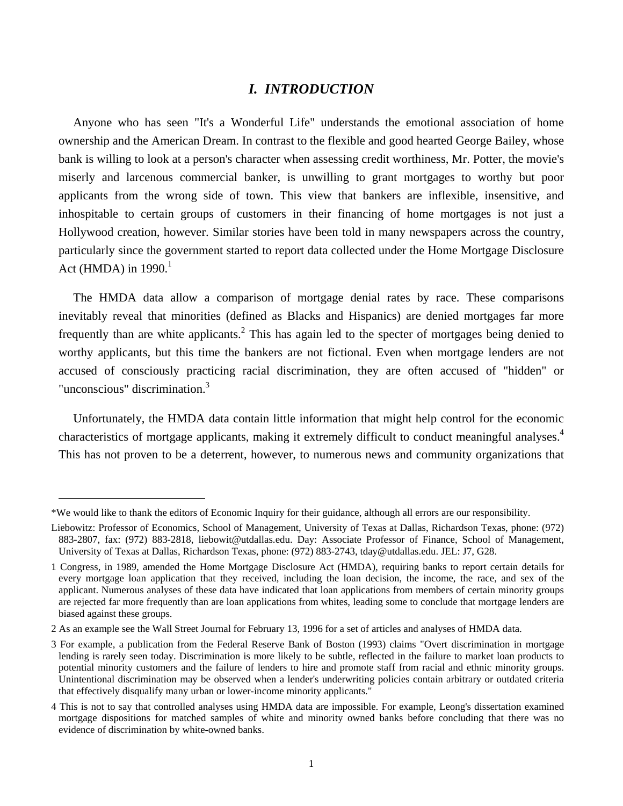# *I. INTRODUCTION*

Anyone who has seen "It's a Wonderful Life" understands the emotional association of home ownership and the American Dream. In contrast to the flexible and good hearted George Bailey, whose bank is willing to look at a person's character when assessing credit worthiness, Mr. Potter, the movie's miserly and larcenous commercial banker, is unwilling to grant mortgages to worthy but poor applicants from the wrong side of town. This view that bankers are inflexible, insensitive, and inhospitable to certain groups of customers in their financing of home mortgages is not just a Hollywood creation, however. Similar stories have been told in many newspapers across the country, particularly since the government started to report data collected under the Home Mortgage Disclosure Act (HMDA) in  $1990<sup>1</sup>$ 

The HMDA data allow a comparison of mortgage denial rates by race. These comparisons inevitably reveal that minorities (defined as Blacks and Hispanics) are denied mortgages far more frequently than are white applicants.<sup>2</sup> This has again led to the specter of mortgages being denied to worthy applicants, but this time the bankers are not fictional. Even when mortgage lenders are not accused of consciously practicing racial discrimination, they are often accused of "hidden" or "unconscious" discrimination.<sup>3</sup>

Unfortunately, the HMDA data contain little information that might help control for the economic characteristics of mortgage applicants, making it extremely difficult to conduct meaningful analyses.<sup>4</sup> This has not proven to be a deterrent, however, to numerous news and community organizations that

<sup>\*</sup>We would like to thank the editors of Economic Inquiry for their guidance, although all errors are our responsibility.

Liebowitz: Professor of Economics, School of Management, University of Texas at Dallas, Richardson Texas, phone: (972) 883-2807, fax: (972) 883-2818, liebowit@utdallas.edu. Day: Associate Professor of Finance, School of Management, University of Texas at Dallas, Richardson Texas, phone: (972) 883-2743, tday@utdallas.edu. JEL: J7, G28.

<sup>1</sup> Congress, in 1989, amended the Home Mortgage Disclosure Act (HMDA), requiring banks to report certain details for every mortgage loan application that they received, including the loan decision, the income, the race, and sex of the applicant. Numerous analyses of these data have indicated that loan applications from members of certain minority groups are rejected far more frequently than are loan applications from whites, leading some to conclude that mortgage lenders are biased against these groups.

<sup>2</sup> As an example see the Wall Street Journal for February 13, 1996 for a set of articles and analyses of HMDA data.

<sup>3</sup> For example, a publication from the Federal Reserve Bank of Boston (1993) claims "Overt discrimination in mortgage lending is rarely seen today. Discrimination is more likely to be subtle, reflected in the failure to market loan products to potential minority customers and the failure of lenders to hire and promote staff from racial and ethnic minority groups. Unintentional discrimination may be observed when a lender's underwriting policies contain arbitrary or outdated criteria that effectively disqualify many urban or lower-income minority applicants."

<sup>4</sup> This is not to say that controlled analyses using HMDA data are impossible. For example, Leong's dissertation examined mortgage dispositions for matched samples of white and minority owned banks before concluding that there was no evidence of discrimination by white-owned banks.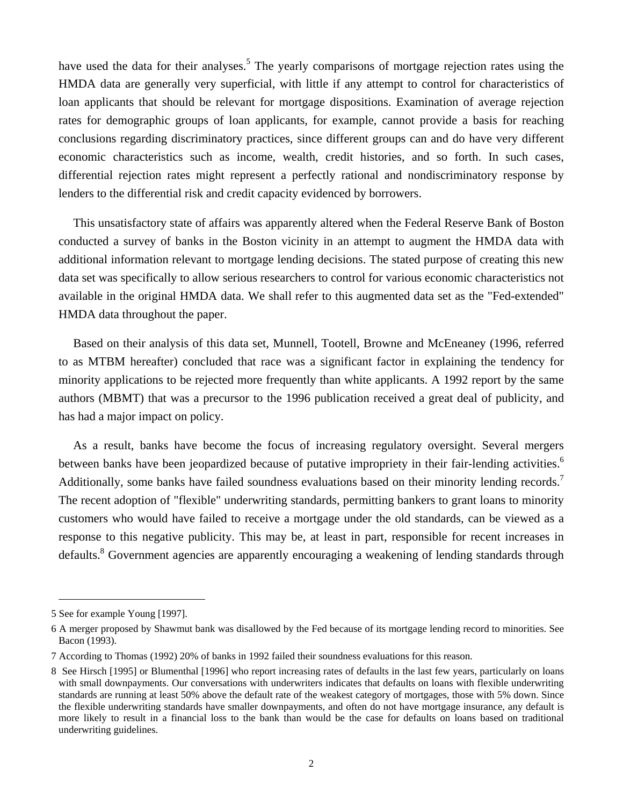have used the data for their analyses.<sup>5</sup> The yearly comparisons of mortgage rejection rates using the HMDA data are generally very superficial, with little if any attempt to control for characteristics of loan applicants that should be relevant for mortgage dispositions. Examination of average rejection rates for demographic groups of loan applicants, for example, cannot provide a basis for reaching conclusions regarding discriminatory practices, since different groups can and do have very different economic characteristics such as income, wealth, credit histories, and so forth. In such cases, differential rejection rates might represent a perfectly rational and nondiscriminatory response by lenders to the differential risk and credit capacity evidenced by borrowers.

This unsatisfactory state of affairs was apparently altered when the Federal Reserve Bank of Boston conducted a survey of banks in the Boston vicinity in an attempt to augment the HMDA data with additional information relevant to mortgage lending decisions. The stated purpose of creating this new data set was specifically to allow serious researchers to control for various economic characteristics not available in the original HMDA data. We shall refer to this augmented data set as the "Fed-extended" HMDA data throughout the paper.

Based on their analysis of this data set, Munnell, Tootell, Browne and McEneaney (1996, referred to as MTBM hereafter) concluded that race was a significant factor in explaining the tendency for minority applications to be rejected more frequently than white applicants. A 1992 report by the same authors (MBMT) that was a precursor to the 1996 publication received a great deal of publicity, and has had a major impact on policy.

As a result, banks have become the focus of increasing regulatory oversight. Several mergers between banks have been jeopardized because of putative impropriety in their fair-lending activities.<sup>6</sup> Additionally, some banks have failed soundness evaluations based on their minority lending records.<sup>7</sup> The recent adoption of "flexible" underwriting standards, permitting bankers to grant loans to minority customers who would have failed to receive a mortgage under the old standards, can be viewed as a response to this negative publicity. This may be, at least in part, responsible for recent increases in defaults.<sup>8</sup> Government agencies are apparently encouraging a weakening of lending standards through

<sup>5</sup> See for example Young [1997].

<sup>6</sup> A merger proposed by Shawmut bank was disallowed by the Fed because of its mortgage lending record to minorities. See Bacon (1993).

<sup>7</sup> According to Thomas (1992) 20% of banks in 1992 failed their soundness evaluations for this reason.

<sup>8</sup> See Hirsch [1995] or Blumenthal [1996] who report increasing rates of defaults in the last few years, particularly on loans with small downpayments. Our conversations with underwriters indicates that defaults on loans with flexible underwriting standards are running at least 50% above the default rate of the weakest category of mortgages, those with 5% down. Since the flexible underwriting standards have smaller downpayments, and often do not have mortgage insurance, any default is more likely to result in a financial loss to the bank than would be the case for defaults on loans based on traditional underwriting guidelines.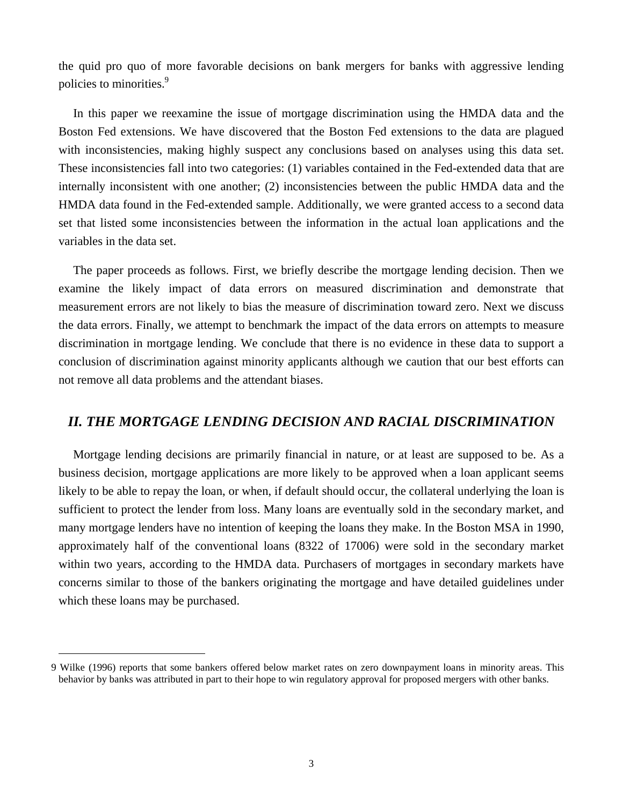the quid pro quo of more favorable decisions on bank mergers for banks with aggressive lending policies to minorities.<sup>9</sup>

In this paper we reexamine the issue of mortgage discrimination using the HMDA data and the Boston Fed extensions. We have discovered that the Boston Fed extensions to the data are plagued with inconsistencies, making highly suspect any conclusions based on analyses using this data set. These inconsistencies fall into two categories: (1) variables contained in the Fed-extended data that are internally inconsistent with one another; (2) inconsistencies between the public HMDA data and the HMDA data found in the Fed-extended sample. Additionally, we were granted access to a second data set that listed some inconsistencies between the information in the actual loan applications and the variables in the data set.

The paper proceeds as follows. First, we briefly describe the mortgage lending decision. Then we examine the likely impact of data errors on measured discrimination and demonstrate that measurement errors are not likely to bias the measure of discrimination toward zero. Next we discuss the data errors. Finally, we attempt to benchmark the impact of the data errors on attempts to measure discrimination in mortgage lending. We conclude that there is no evidence in these data to support a conclusion of discrimination against minority applicants although we caution that our best efforts can not remove all data problems and the attendant biases.

### *II. THE MORTGAGE LENDING DECISION AND RACIAL DISCRIMINATION*

Mortgage lending decisions are primarily financial in nature, or at least are supposed to be. As a business decision, mortgage applications are more likely to be approved when a loan applicant seems likely to be able to repay the loan, or when, if default should occur, the collateral underlying the loan is sufficient to protect the lender from loss. Many loans are eventually sold in the secondary market, and many mortgage lenders have no intention of keeping the loans they make. In the Boston MSA in 1990, approximately half of the conventional loans (8322 of 17006) were sold in the secondary market within two years, according to the HMDA data. Purchasers of mortgages in secondary markets have concerns similar to those of the bankers originating the mortgage and have detailed guidelines under which these loans may be purchased.

<sup>9</sup> Wilke (1996) reports that some bankers offered below market rates on zero downpayment loans in minority areas. This behavior by banks was attributed in part to their hope to win regulatory approval for proposed mergers with other banks.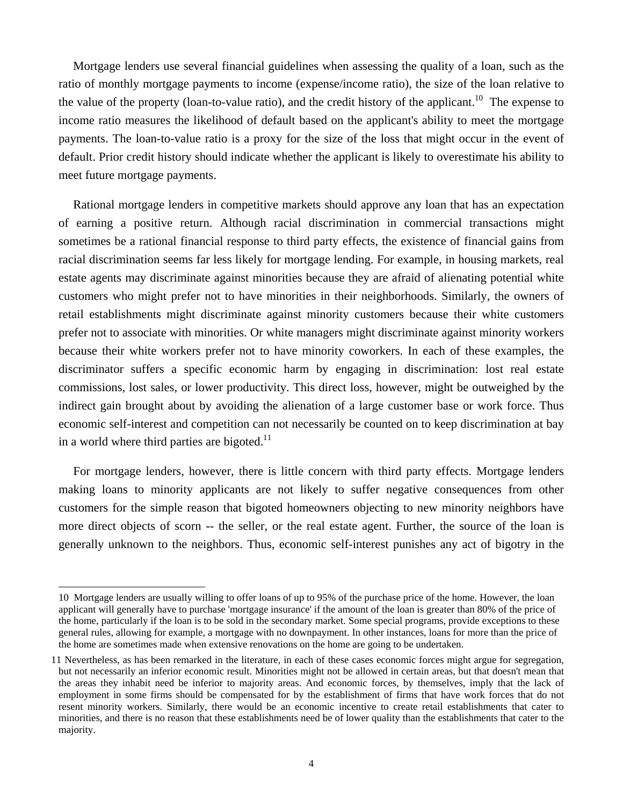Mortgage lenders use several financial guidelines when assessing the quality of a loan, such as the ratio of monthly mortgage payments to income (expense/income ratio), the size of the loan relative to the value of the property (loan-to-value ratio), and the credit history of the applicant.<sup>10</sup> The expense to income ratio measures the likelihood of default based on the applicant's ability to meet the mortgage payments. The loan-to-value ratio is a proxy for the size of the loss that might occur in the event of default. Prior credit history should indicate whether the applicant is likely to overestimate his ability to meet future mortgage payments.

Rational mortgage lenders in competitive markets should approve any loan that has an expectation of earning a positive return. Although racial discrimination in commercial transactions might sometimes be a rational financial response to third party effects, the existence of financial gains from racial discrimination seems far less likely for mortgage lending. For example, in housing markets, real estate agents may discriminate against minorities because they are afraid of alienating potential white customers who might prefer not to have minorities in their neighborhoods. Similarly, the owners of retail establishments might discriminate against minority customers because their white customers prefer not to associate with minorities. Or white managers might discriminate against minority workers because their white workers prefer not to have minority coworkers. In each of these examples, the discriminator suffers a specific economic harm by engaging in discrimination: lost real estate commissions, lost sales, or lower productivity. This direct loss, however, might be outweighed by the indirect gain brought about by avoiding the alienation of a large customer base or work force. Thus economic self-interest and competition can not necessarily be counted on to keep discrimination at bay in a world where third parties are bigoted. $11$ 

For mortgage lenders, however, there is little concern with third party effects. Mortgage lenders making loans to minority applicants are not likely to suffer negative consequences from other customers for the simple reason that bigoted homeowners objecting to new minority neighbors have more direct objects of scorn -- the seller, or the real estate agent. Further, the source of the loan is generally unknown to the neighbors. Thus, economic self-interest punishes any act of bigotry in the

<sup>10</sup> Mortgage lenders are usually willing to offer loans of up to 95% of the purchase price of the home. However, the loan applicant will generally have to purchase 'mortgage insurance' if the amount of the loan is greater than 80% of the price of the home, particularly if the loan is to be sold in the secondary market. Some special programs, provide exceptions to these general rules, allowing for example, a mortgage with no downpayment. In other instances, loans for more than the price of the home are sometimes made when extensive renovations on the home are going to be undertaken.

<sup>11</sup> Nevertheless, as has been remarked in the literature, in each of these cases economic forces might argue for segregation, but not necessarily an inferior economic result. Minorities might not be allowed in certain areas, but that doesn't mean that the areas they inhabit need be inferior to majority areas. And economic forces, by themselves, imply that the lack of employment in some firms should be compensated for by the establishment of firms that have work forces that do not resent minority workers. Similarly, there would be an economic incentive to create retail establishments that cater to minorities, and there is no reason that these establishments need be of lower quality than the establishments that cater to the majority.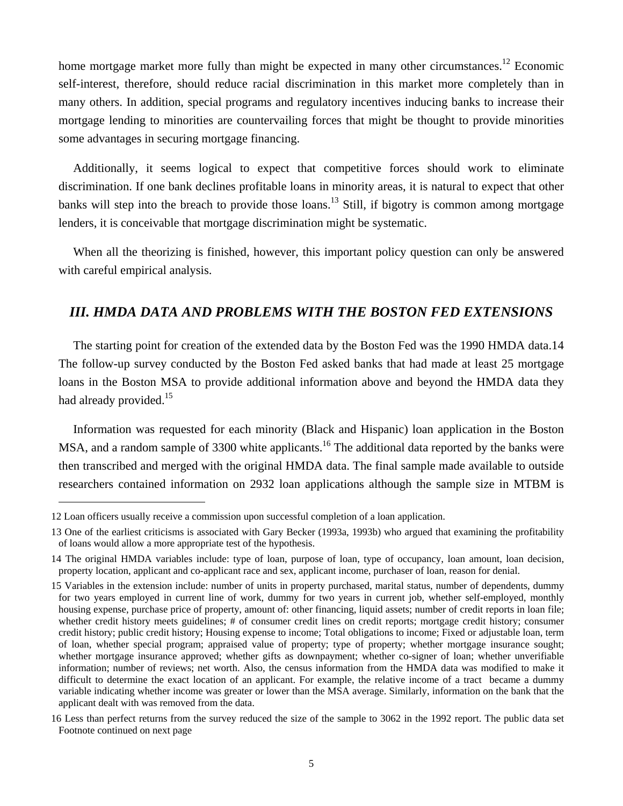home mortgage market more fully than might be expected in many other circumstances.<sup>12</sup> Economic self-interest, therefore, should reduce racial discrimination in this market more completely than in many others. In addition, special programs and regulatory incentives inducing banks to increase their mortgage lending to minorities are countervailing forces that might be thought to provide minorities some advantages in securing mortgage financing.

Additionally, it seems logical to expect that competitive forces should work to eliminate discrimination. If one bank declines profitable loans in minority areas, it is natural to expect that other banks will step into the breach to provide those loans.<sup>13</sup> Still, if bigotry is common among mortgage lenders, it is conceivable that mortgage discrimination might be systematic.

When all the theorizing is finished, however, this important policy question can only be answered with careful empirical analysis.

### *III. HMDA DATA AND PROBLEMS WITH THE BOSTON FED EXTENSIONS*

The starting point for creation of the extended data by the Boston Fed was the 1990 HMDA data.14 The follow-up survey conducted by the Boston Fed asked banks that had made at least 25 mortgage loans in the Boston MSA to provide additional information above and beyond the HMDA data they had already provided.<sup>15</sup>

Information was requested for each minority (Black and Hispanic) loan application in the Boston MSA, and a random sample of 3300 white applicants.<sup>16</sup> The additional data reported by the banks were then transcribed and merged with the original HMDA data. The final sample made available to outside researchers contained information on 2932 loan applications although the sample size in MTBM is

<sup>12</sup> Loan officers usually receive a commission upon successful completion of a loan application.

<sup>13</sup> One of the earliest criticisms is associated with Gary Becker (1993a, 1993b) who argued that examining the profitability of loans would allow a more appropriate test of the hypothesis.

<sup>14</sup> The original HMDA variables include: type of loan, purpose of loan, type of occupancy, loan amount, loan decision, property location, applicant and co-applicant race and sex, applicant income, purchaser of loan, reason for denial.

<sup>15</sup> Variables in the extension include: number of units in property purchased, marital status, number of dependents, dummy for two years employed in current line of work, dummy for two years in current job, whether self-employed, monthly housing expense, purchase price of property, amount of: other financing, liquid assets; number of credit reports in loan file; whether credit history meets guidelines; # of consumer credit lines on credit reports; mortgage credit history; consumer credit history; public credit history; Housing expense to income; Total obligations to income; Fixed or adjustable loan, term of loan, whether special program; appraised value of property; type of property; whether mortgage insurance sought; whether mortgage insurance approved; whether gifts as downpayment; whether co-signer of loan; whether unverifiable information; number of reviews; net worth. Also, the census information from the HMDA data was modified to make it difficult to determine the exact location of an applicant. For example, the relative income of a tract became a dummy variable indicating whether income was greater or lower than the MSA average. Similarly, information on the bank that the applicant dealt with was removed from the data.

<sup>16</sup> Less than perfect returns from the survey reduced the size of the sample to 3062 in the 1992 report. The public data set Footnote continued on next page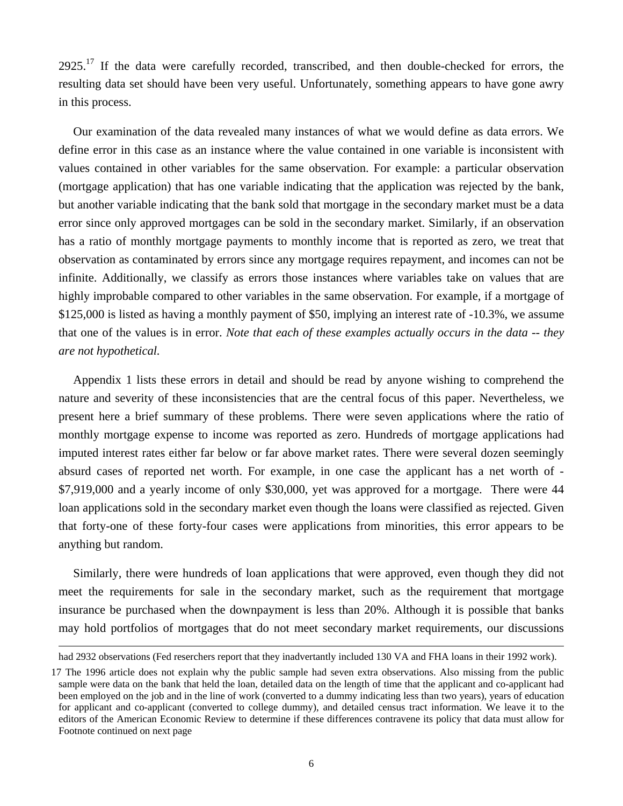2925.<sup>17</sup> If the data were carefully recorded, transcribed, and then double-checked for errors, the resulting data set should have been very useful. Unfortunately, something appears to have gone awry in this process.

Our examination of the data revealed many instances of what we would define as data errors. We define error in this case as an instance where the value contained in one variable is inconsistent with values contained in other variables for the same observation. For example: a particular observation (mortgage application) that has one variable indicating that the application was rejected by the bank, but another variable indicating that the bank sold that mortgage in the secondary market must be a data error since only approved mortgages can be sold in the secondary market. Similarly, if an observation has a ratio of monthly mortgage payments to monthly income that is reported as zero, we treat that observation as contaminated by errors since any mortgage requires repayment, and incomes can not be infinite. Additionally, we classify as errors those instances where variables take on values that are highly improbable compared to other variables in the same observation. For example, if a mortgage of \$125,000 is listed as having a monthly payment of \$50, implying an interest rate of -10.3%, we assume that one of the values is in error. *Note that each of these examples actually occurs in the data -- they are not hypothetical.* 

Appendix 1 lists these errors in detail and should be read by anyone wishing to comprehend the nature and severity of these inconsistencies that are the central focus of this paper. Nevertheless, we present here a brief summary of these problems. There were seven applications where the ratio of monthly mortgage expense to income was reported as zero. Hundreds of mortgage applications had imputed interest rates either far below or far above market rates. There were several dozen seemingly absurd cases of reported net worth. For example, in one case the applicant has a net worth of - \$7,919,000 and a yearly income of only \$30,000, yet was approved for a mortgage. There were 44 loan applications sold in the secondary market even though the loans were classified as rejected. Given that forty-one of these forty-four cases were applications from minorities, this error appears to be anything but random.

Similarly, there were hundreds of loan applications that were approved, even though they did not meet the requirements for sale in the secondary market, such as the requirement that mortgage insurance be purchased when the downpayment is less than 20%. Although it is possible that banks may hold portfolios of mortgages that do not meet secondary market requirements, our discussions

had 2932 observations (Fed reserchers report that they inadvertantly included 130 VA and FHA loans in their 1992 work).

<sup>17</sup> The 1996 article does not explain why the public sample had seven extra observations. Also missing from the public sample were data on the bank that held the loan, detailed data on the length of time that the applicant and co-applicant had been employed on the job and in the line of work (converted to a dummy indicating less than two years), years of education for applicant and co-applicant (converted to college dummy), and detailed census tract information. We leave it to the editors of the American Economic Review to determine if these differences contravene its policy that data must allow for Footnote continued on next page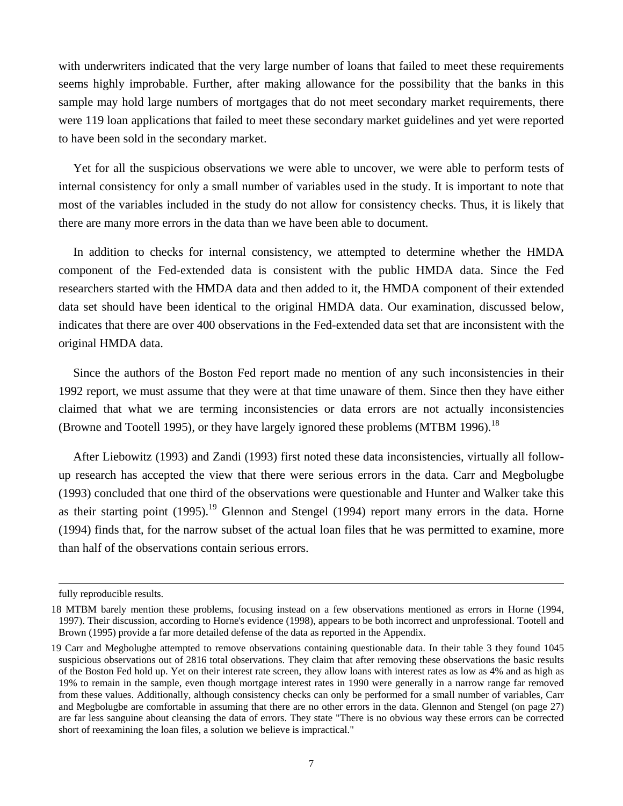with underwriters indicated that the very large number of loans that failed to meet these requirements seems highly improbable. Further, after making allowance for the possibility that the banks in this sample may hold large numbers of mortgages that do not meet secondary market requirements, there were 119 loan applications that failed to meet these secondary market guidelines and yet were reported to have been sold in the secondary market.

Yet for all the suspicious observations we were able to uncover, we were able to perform tests of internal consistency for only a small number of variables used in the study. It is important to note that most of the variables included in the study do not allow for consistency checks. Thus, it is likely that there are many more errors in the data than we have been able to document.

In addition to checks for internal consistency, we attempted to determine whether the HMDA component of the Fed-extended data is consistent with the public HMDA data. Since the Fed researchers started with the HMDA data and then added to it, the HMDA component of their extended data set should have been identical to the original HMDA data. Our examination, discussed below, indicates that there are over 400 observations in the Fed-extended data set that are inconsistent with the original HMDA data.

Since the authors of the Boston Fed report made no mention of any such inconsistencies in their 1992 report, we must assume that they were at that time unaware of them. Since then they have either claimed that what we are terming inconsistencies or data errors are not actually inconsistencies (Browne and Tootell 1995), or they have largely ignored these problems (MTBM 1996).<sup>18</sup>

After Liebowitz (1993) and Zandi (1993) first noted these data inconsistencies, virtually all followup research has accepted the view that there were serious errors in the data. Carr and Megbolugbe (1993) concluded that one third of the observations were questionable and Hunter and Walker take this as their starting point  $(1995)$ .<sup>19</sup> Glennon and Stengel (1994) report many errors in the data. Horne (1994) finds that, for the narrow subset of the actual loan files that he was permitted to examine, more than half of the observations contain serious errors.

fully reproducible results.

<sup>18</sup> MTBM barely mention these problems, focusing instead on a few observations mentioned as errors in Horne (1994, 1997). Their discussion, according to Horne's evidence (1998), appears to be both incorrect and unprofessional. Tootell and Brown (1995) provide a far more detailed defense of the data as reported in the Appendix.

<sup>19</sup> Carr and Megbolugbe attempted to remove observations containing questionable data. In their table 3 they found 1045 suspicious observations out of 2816 total observations. They claim that after removing these observations the basic results of the Boston Fed hold up. Yet on their interest rate screen, they allow loans with interest rates as low as 4% and as high as 19% to remain in the sample, even though mortgage interest rates in 1990 were generally in a narrow range far removed from these values. Additionally, although consistency checks can only be performed for a small number of variables, Carr and Megbolugbe are comfortable in assuming that there are no other errors in the data. Glennon and Stengel (on page 27) are far less sanguine about cleansing the data of errors. They state "There is no obvious way these errors can be corrected short of reexamining the loan files, a solution we believe is impractical."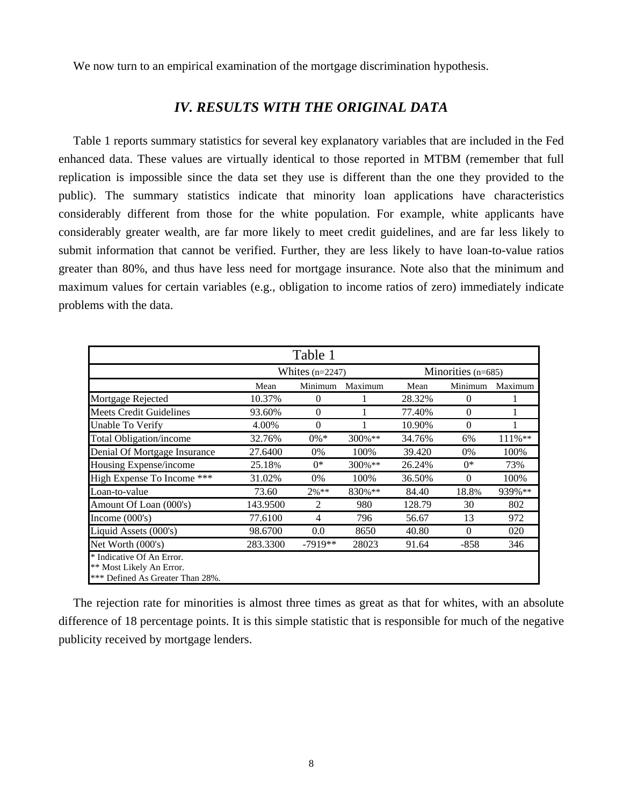We now turn to an empirical examination of the mortgage discrimination hypothesis.

# *IV. RESULTS WITH THE ORIGINAL DATA*

Table 1 reports summary statistics for several key explanatory variables that are included in the Fed enhanced data. These values are virtually identical to those reported in MTBM (remember that full replication is impossible since the data set they use is different than the one they provided to the public). The summary statistics indicate that minority loan applications have characteristics considerably different from those for the white population. For example, white applicants have considerably greater wealth, are far more likely to meet credit guidelines, and are far less likely to submit information that cannot be verified. Further, they are less likely to have loan-to-value ratios greater than 80%, and thus have less need for mortgage insurance. Note also that the minimum and maximum values for certain variables (e.g., obligation to income ratios of zero) immediately indicate problems with the data.

|                                                                                           |          | Table 1           |         |        |                      |           |  |
|-------------------------------------------------------------------------------------------|----------|-------------------|---------|--------|----------------------|-----------|--|
|                                                                                           |          | Whites $(n=2247)$ |         |        | Minorities $(n=685)$ |           |  |
|                                                                                           | Mean     | Minimum           | Maximum | Mean   | Minimum              | Maximum   |  |
| Mortgage Rejected                                                                         | 10.37%   | 0                 |         | 28.32% | 0                    |           |  |
| <b>Meets Credit Guidelines</b>                                                            | 93.60%   | $\theta$          |         | 77.40% | 0                    |           |  |
| Unable To Verify                                                                          | 4.00%    | $\theta$          |         | 10.90% | 0                    |           |  |
| <b>Total Obligation/income</b>                                                            | 32.76%   | $0\% *$           | 300%**  | 34.76% | 6%                   | $111\%**$ |  |
| Denial Of Mortgage Insurance                                                              | 27.6400  | 0%                | 100%    | 39.420 | $0\%$                | 100%      |  |
| Housing Expense/income                                                                    | 25.18%   | $0*$              | 300%**  | 26.24% | $0*$                 | 73%       |  |
| High Expense To Income ***                                                                | 31.02%   | 0%                | 100%    | 36.50% | $\Omega$             | 100%      |  |
| Loan-to-value                                                                             | 73.60    | $2\%**$           | 830%**  | 84.40  | 18.8%                | 939%**    |  |
| Amount Of Loan (000's)                                                                    | 143.9500 | 2                 | 980     | 128.79 | 30                   | 802       |  |
| Income $(000's)$                                                                          | 77.6100  | 4                 | 796     | 56.67  | 13                   | 972       |  |
| Liquid Assets (000's)                                                                     | 98.6700  | 0.0               | 8650    | 40.80  | $\Omega$             | 020       |  |
| Net Worth (000's)                                                                         | 283.3300 | $-7919**$         | 28023   | 91.64  | $-858$               | 346       |  |
| * Indicative Of An Error.<br>** Most Likely An Error.<br>*** Defined As Greater Than 28%. |          |                   |         |        |                      |           |  |

The rejection rate for minorities is almost three times as great as that for whites, with an absolute difference of 18 percentage points. It is this simple statistic that is responsible for much of the negative publicity received by mortgage lenders.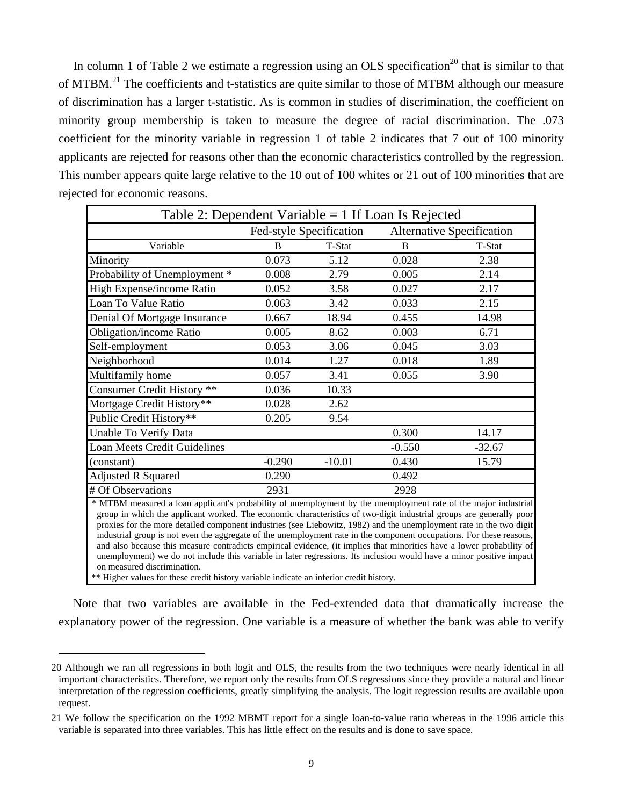In column 1 of Table 2 we estimate a regression using an OLS specification<sup>20</sup> that is similar to that of MTBM.<sup>21</sup> The coefficients and t-statistics are quite similar to those of MTBM although our measure of discrimination has a larger t-statistic. As is common in studies of discrimination, the coefficient on minority group membership is taken to measure the degree of racial discrimination. The .073 coefficient for the minority variable in regression 1 of table 2 indicates that 7 out of 100 minority applicants are rejected for reasons other than the economic characteristics controlled by the regression. This number appears quite large relative to the 10 out of 100 whites or 21 out of 100 minorities that are rejected for economic reasons.

| Table 2: Dependent Variable $= 1$ If Loan Is Rejected                                                           |                         |          |          |                                  |  |  |  |  |  |
|-----------------------------------------------------------------------------------------------------------------|-------------------------|----------|----------|----------------------------------|--|--|--|--|--|
|                                                                                                                 | Fed-style Specification |          |          | <b>Alternative Specification</b> |  |  |  |  |  |
| Variable                                                                                                        | B                       | T-Stat   | B        | T-Stat                           |  |  |  |  |  |
| Minority                                                                                                        | 0.073                   | 5.12     | 0.028    | 2.38                             |  |  |  |  |  |
| Probability of Unemployment *                                                                                   | 0.008                   | 2.79     | 0.005    | 2.14                             |  |  |  |  |  |
| High Expense/income Ratio                                                                                       | 0.052                   | 3.58     | 0.027    | 2.17                             |  |  |  |  |  |
| Loan To Value Ratio                                                                                             | 0.063                   | 3.42     | 0.033    | 2.15                             |  |  |  |  |  |
| Denial Of Mortgage Insurance                                                                                    | 0.667                   | 18.94    | 0.455    | 14.98                            |  |  |  |  |  |
| Obligation/income Ratio                                                                                         | 0.005                   | 8.62     | 0.003    | 6.71                             |  |  |  |  |  |
| Self-employment                                                                                                 | 0.053                   | 3.06     | 0.045    | 3.03                             |  |  |  |  |  |
| Neighborhood                                                                                                    | 0.014                   | 1.27     | 0.018    | 1.89                             |  |  |  |  |  |
| Multifamily home                                                                                                | 0.057                   | 3.41     | 0.055    | 3.90                             |  |  |  |  |  |
| Consumer Credit History **                                                                                      | 0.036                   | 10.33    |          |                                  |  |  |  |  |  |
| Mortgage Credit History**                                                                                       | 0.028                   | 2.62     |          |                                  |  |  |  |  |  |
| Public Credit History**                                                                                         | 0.205                   | 9.54     |          |                                  |  |  |  |  |  |
| Unable To Verify Data                                                                                           |                         |          | 0.300    | 14.17                            |  |  |  |  |  |
| Loan Meets Credit Guidelines                                                                                    |                         |          | $-0.550$ | $-32.67$                         |  |  |  |  |  |
| (constant)                                                                                                      | $-0.290$                | $-10.01$ | 0.430    | 15.79                            |  |  |  |  |  |
| <b>Adjusted R Squared</b>                                                                                       | 0.290                   |          | 0.492    |                                  |  |  |  |  |  |
| # Of Observations                                                                                               | 2931                    |          | 2928     |                                  |  |  |  |  |  |
| * MTBM measured a loan applicant's probability of unemployment by the unemployment rate of the major industrial |                         |          |          |                                  |  |  |  |  |  |

group in which the applicant worked. The economic characteristics of two-digit industrial groups are generally poor proxies for the more detailed component industries (see Liebowitz, 1982) and the unemployment rate in the two digit industrial group is not even the aggregate of the unemployment rate in the component occupations. For these reasons, and also because this measure contradicts empirical evidence, (it implies that minorities have a lower probability of unemployment) we do not include this variable in later regressions. Its inclusion would have a minor positive impact on measured discrimination.

\*\* Higher values for these credit history variable indicate an inferior credit history.

l

Note that two variables are available in the Fed-extended data that dramatically increase the explanatory power of the regression. One variable is a measure of whether the bank was able to verify

<sup>20</sup> Although we ran all regressions in both logit and OLS, the results from the two techniques were nearly identical in all important characteristics. Therefore, we report only the results from OLS regressions since they provide a natural and linear interpretation of the regression coefficients, greatly simplifying the analysis. The logit regression results are available upon request.

<sup>21</sup> We follow the specification on the 1992 MBMT report for a single loan-to-value ratio whereas in the 1996 article this variable is separated into three variables. This has little effect on the results and is done to save space.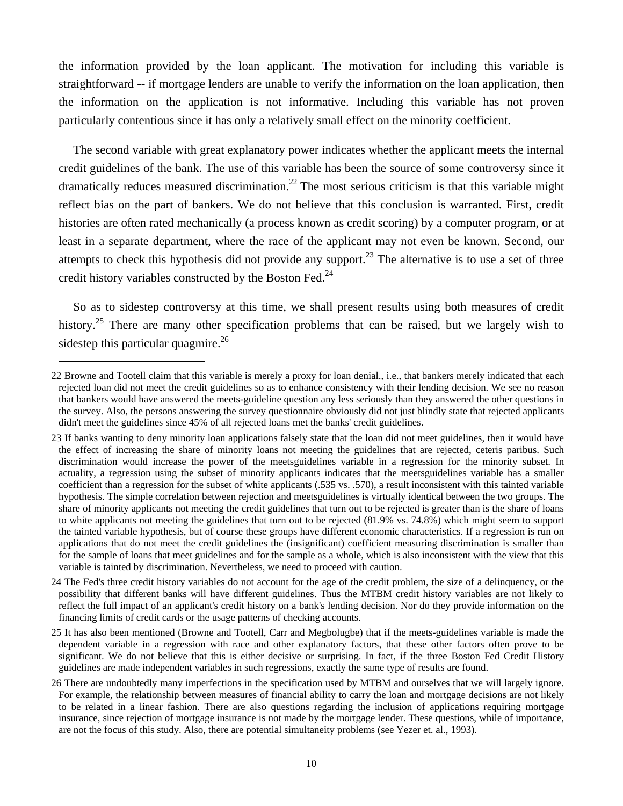the information provided by the loan applicant. The motivation for including this variable is straightforward -- if mortgage lenders are unable to verify the information on the loan application, then the information on the application is not informative. Including this variable has not proven particularly contentious since it has only a relatively small effect on the minority coefficient.

The second variable with great explanatory power indicates whether the applicant meets the internal credit guidelines of the bank. The use of this variable has been the source of some controversy since it dramatically reduces measured discrimination.<sup>22</sup> The most serious criticism is that this variable might reflect bias on the part of bankers. We do not believe that this conclusion is warranted. First, credit histories are often rated mechanically (a process known as credit scoring) by a computer program, or at least in a separate department, where the race of the applicant may not even be known. Second, our attempts to check this hypothesis did not provide any support.<sup>23</sup> The alternative is to use a set of three credit history variables constructed by the Boston Fed.<sup>24</sup>

So as to sidestep controversy at this time, we shall present results using both measures of credit history.<sup>25</sup> There are many other specification problems that can be raised, but we largely wish to sidestep this particular quagmire.<sup>26</sup>

<sup>22</sup> Browne and Tootell claim that this variable is merely a proxy for loan denial., i.e., that bankers merely indicated that each rejected loan did not meet the credit guidelines so as to enhance consistency with their lending decision. We see no reason that bankers would have answered the meets-guideline question any less seriously than they answered the other questions in the survey. Also, the persons answering the survey questionnaire obviously did not just blindly state that rejected applicants didn't meet the guidelines since 45% of all rejected loans met the banks' credit guidelines.

<sup>23</sup> If banks wanting to deny minority loan applications falsely state that the loan did not meet guidelines, then it would have the effect of increasing the share of minority loans not meeting the guidelines that are rejected, ceteris paribus. Such discrimination would increase the power of the meetsguidelines variable in a regression for the minority subset. In actuality, a regression using the subset of minority applicants indicates that the meetsguidelines variable has a smaller coefficient than a regression for the subset of white applicants (.535 vs. .570), a result inconsistent with this tainted variable hypothesis. The simple correlation between rejection and meetsguidelines is virtually identical between the two groups. The share of minority applicants not meeting the credit guidelines that turn out to be rejected is greater than is the share of loans to white applicants not meeting the guidelines that turn out to be rejected (81.9% vs. 74.8%) which might seem to support the tainted variable hypothesis, but of course these groups have different economic characteristics. If a regression is run on applications that do not meet the credit guidelines the (insignificant) coefficient measuring discrimination is smaller than for the sample of loans that meet guidelines and for the sample as a whole, which is also inconsistent with the view that this variable is tainted by discrimination. Nevertheless, we need to proceed with caution.

<sup>24</sup> The Fed's three credit history variables do not account for the age of the credit problem, the size of a delinquency, or the possibility that different banks will have different guidelines. Thus the MTBM credit history variables are not likely to reflect the full impact of an applicant's credit history on a bank's lending decision. Nor do they provide information on the financing limits of credit cards or the usage patterns of checking accounts.

<sup>25</sup> It has also been mentioned (Browne and Tootell, Carr and Megbolugbe) that if the meets-guidelines variable is made the dependent variable in a regression with race and other explanatory factors, that these other factors often prove to be significant. We do not believe that this is either decisive or surprising. In fact, if the three Boston Fed Credit History guidelines are made independent variables in such regressions, exactly the same type of results are found.

<sup>26</sup> There are undoubtedly many imperfections in the specification used by MTBM and ourselves that we will largely ignore. For example, the relationship between measures of financial ability to carry the loan and mortgage decisions are not likely to be related in a linear fashion. There are also questions regarding the inclusion of applications requiring mortgage insurance, since rejection of mortgage insurance is not made by the mortgage lender. These questions, while of importance, are not the focus of this study. Also, there are potential simultaneity problems (see Yezer et. al., 1993).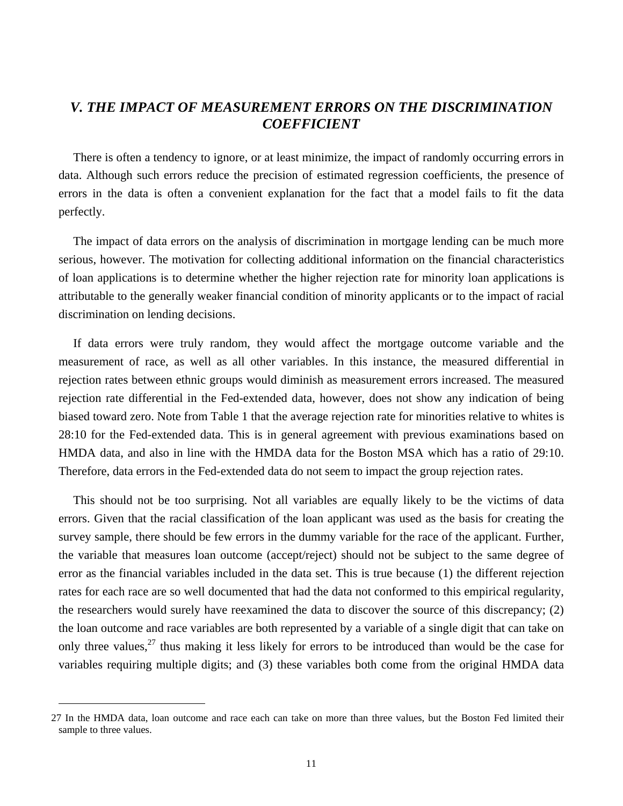# *V. THE IMPACT OF MEASUREMENT ERRORS ON THE DISCRIMINATION COEFFICIENT*

There is often a tendency to ignore, or at least minimize, the impact of randomly occurring errors in data. Although such errors reduce the precision of estimated regression coefficients, the presence of errors in the data is often a convenient explanation for the fact that a model fails to fit the data perfectly.

The impact of data errors on the analysis of discrimination in mortgage lending can be much more serious, however. The motivation for collecting additional information on the financial characteristics of loan applications is to determine whether the higher rejection rate for minority loan applications is attributable to the generally weaker financial condition of minority applicants or to the impact of racial discrimination on lending decisions.

If data errors were truly random, they would affect the mortgage outcome variable and the measurement of race, as well as all other variables. In this instance, the measured differential in rejection rates between ethnic groups would diminish as measurement errors increased. The measured rejection rate differential in the Fed-extended data, however, does not show any indication of being biased toward zero. Note from Table 1 that the average rejection rate for minorities relative to whites is 28:10 for the Fed-extended data. This is in general agreement with previous examinations based on HMDA data, and also in line with the HMDA data for the Boston MSA which has a ratio of 29:10. Therefore, data errors in the Fed-extended data do not seem to impact the group rejection rates.

This should not be too surprising. Not all variables are equally likely to be the victims of data errors. Given that the racial classification of the loan applicant was used as the basis for creating the survey sample, there should be few errors in the dummy variable for the race of the applicant. Further, the variable that measures loan outcome (accept/reject) should not be subject to the same degree of error as the financial variables included in the data set. This is true because (1) the different rejection rates for each race are so well documented that had the data not conformed to this empirical regularity, the researchers would surely have reexamined the data to discover the source of this discrepancy; (2) the loan outcome and race variables are both represented by a variable of a single digit that can take on only three values, $^{27}$  thus making it less likely for errors to be introduced than would be the case for variables requiring multiple digits; and (3) these variables both come from the original HMDA data

<sup>27</sup> In the HMDA data, loan outcome and race each can take on more than three values, but the Boston Fed limited their sample to three values.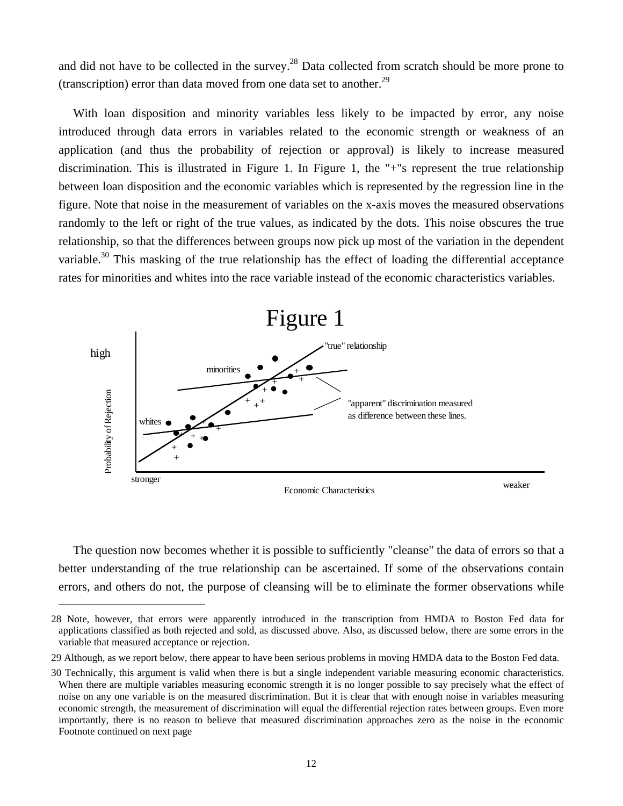and did not have to be collected in the survey.<sup>28</sup> Data collected from scratch should be more prone to (transcription) error than data moved from one data set to another.<sup>29</sup>

With loan disposition and minority variables less likely to be impacted by error, any noise introduced through data errors in variables related to the economic strength or weakness of an application (and thus the probability of rejection or approval) is likely to increase measured discrimination. This is illustrated in Figure 1. In Figure 1, the "+"s represent the true relationship between loan disposition and the economic variables which is represented by the regression line in the figure. Note that noise in the measurement of variables on the x-axis moves the measured observations randomly to the left or right of the true values, as indicated by the dots. This noise obscures the true relationship, so that the differences between groups now pick up most of the variation in the dependent variable.<sup>30</sup> This masking of the true relationship has the effect of loading the differential acceptance rates for minorities and whites into the race variable instead of the economic characteristics variables.



The question now becomes whether it is possible to sufficiently "cleanse" the data of errors so that a better understanding of the true relationship can be ascertained. If some of the observations contain errors, and others do not, the purpose of cleansing will be to eliminate the former observations while

<sup>28</sup> Note, however, that errors were apparently introduced in the transcription from HMDA to Boston Fed data for applications classified as both rejected and sold, as discussed above. Also, as discussed below, there are some errors in the variable that measured acceptance or rejection.

<sup>29</sup> Although, as we report below, there appear to have been serious problems in moving HMDA data to the Boston Fed data.

<sup>30</sup> Technically, this argument is valid when there is but a single independent variable measuring economic characteristics. When there are multiple variables measuring economic strength it is no longer possible to say precisely what the effect of noise on any one variable is on the measured discrimination. But it is clear that with enough noise in variables measuring economic strength, the measurement of discrimination will equal the differential rejection rates between groups. Even more importantly, there is no reason to believe that measured discrimination approaches zero as the noise in the economic Footnote continued on next page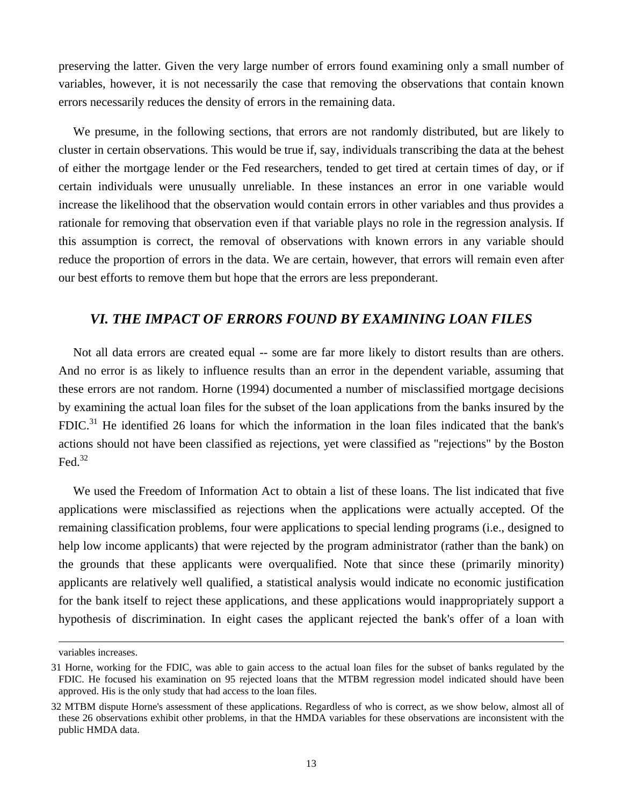preserving the latter. Given the very large number of errors found examining only a small number of variables, however, it is not necessarily the case that removing the observations that contain known errors necessarily reduces the density of errors in the remaining data.

We presume, in the following sections, that errors are not randomly distributed, but are likely to cluster in certain observations. This would be true if, say, individuals transcribing the data at the behest of either the mortgage lender or the Fed researchers, tended to get tired at certain times of day, or if certain individuals were unusually unreliable. In these instances an error in one variable would increase the likelihood that the observation would contain errors in other variables and thus provides a rationale for removing that observation even if that variable plays no role in the regression analysis. If this assumption is correct, the removal of observations with known errors in any variable should reduce the proportion of errors in the data. We are certain, however, that errors will remain even after our best efforts to remove them but hope that the errors are less preponderant.

### *VI. THE IMPACT OF ERRORS FOUND BY EXAMINING LOAN FILES*

Not all data errors are created equal -- some are far more likely to distort results than are others. And no error is as likely to influence results than an error in the dependent variable, assuming that these errors are not random. Horne (1994) documented a number of misclassified mortgage decisions by examining the actual loan files for the subset of the loan applications from the banks insured by the FDIC.<sup>31</sup> He identified 26 loans for which the information in the loan files indicated that the bank's actions should not have been classified as rejections, yet were classified as "rejections" by the Boston  $\text{Fed.}^{32}$ 

We used the Freedom of Information Act to obtain a list of these loans. The list indicated that five applications were misclassified as rejections when the applications were actually accepted. Of the remaining classification problems, four were applications to special lending programs (i.e., designed to help low income applicants) that were rejected by the program administrator (rather than the bank) on the grounds that these applicants were overqualified. Note that since these (primarily minority) applicants are relatively well qualified, a statistical analysis would indicate no economic justification for the bank itself to reject these applications, and these applications would inappropriately support a hypothesis of discrimination. In eight cases the applicant rejected the bank's offer of a loan with

variables increases.

<sup>31</sup> Horne, working for the FDIC, was able to gain access to the actual loan files for the subset of banks regulated by the FDIC. He focused his examination on 95 rejected loans that the MTBM regression model indicated should have been approved. His is the only study that had access to the loan files.

<sup>32</sup> MTBM dispute Horne's assessment of these applications. Regardless of who is correct, as we show below, almost all of these 26 observations exhibit other problems, in that the HMDA variables for these observations are inconsistent with the public HMDA data.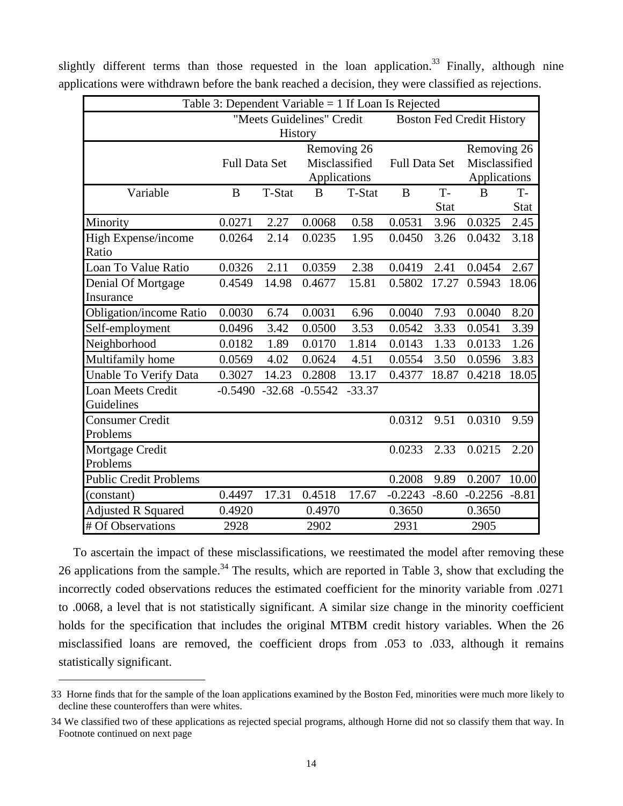|                               | Table 3: Dependent Variable $= 1$ If Loan Is Rejected |          |                           |          |                      |             |                                  |             |  |  |  |  |
|-------------------------------|-------------------------------------------------------|----------|---------------------------|----------|----------------------|-------------|----------------------------------|-------------|--|--|--|--|
|                               |                                                       |          | "Meets Guidelines" Credit |          |                      |             | <b>Boston Fed Credit History</b> |             |  |  |  |  |
|                               |                                                       |          | History                   |          |                      |             |                                  |             |  |  |  |  |
|                               |                                                       |          | Removing 26               |          |                      |             | Removing 26                      |             |  |  |  |  |
|                               | <b>Full Data Set</b>                                  |          | Misclassified             |          | <b>Full Data Set</b> |             | Misclassified                    |             |  |  |  |  |
|                               |                                                       |          | Applications              |          |                      |             | Applications                     |             |  |  |  |  |
| Variable                      | B                                                     | T-Stat   | B                         | T-Stat   | $\mathbf{B}$         | $T -$       | B                                | $T -$       |  |  |  |  |
|                               |                                                       |          |                           |          |                      | <b>Stat</b> |                                  | <b>Stat</b> |  |  |  |  |
| Minority                      | 0.0271                                                | 2.27     | 0.0068                    | 0.58     | 0.0531               | 3.96        | 0.0325                           | 2.45        |  |  |  |  |
| High Expense/income           | 0.0264                                                | 2.14     | 0.0235                    | 1.95     | 0.0450               | 3.26        | 0.0432                           | 3.18        |  |  |  |  |
| Ratio                         |                                                       |          |                           |          |                      |             |                                  |             |  |  |  |  |
| Loan To Value Ratio           | 0.0326                                                | 2.11     | 0.0359                    | 2.38     | 0.0419               | 2.41        | 0.0454                           | 2.67        |  |  |  |  |
| Denial Of Mortgage            | 0.4549                                                | 14.98    | 0.4677                    | 15.81    | 0.5802               | 17.27       | 0.5943                           | 18.06       |  |  |  |  |
| Insurance                     |                                                       |          |                           |          |                      |             |                                  |             |  |  |  |  |
| Obligation/income Ratio       | 0.0030                                                | 6.74     | 0.0031                    | 6.96     | 0.0040               | 7.93        | 0.0040                           | 8.20        |  |  |  |  |
| Self-employment               | 0.0496                                                | 3.42     | 0.0500                    | 3.53     | 0.0542               | 3.33        | 0.0541                           | 3.39        |  |  |  |  |
| Neighborhood                  | 0.0182                                                | 1.89     | 0.0170                    | 1.814    | 0.0143               | 1.33        | 0.0133                           | 1.26        |  |  |  |  |
| Multifamily home              | 0.0569                                                | 4.02     | 0.0624                    | 4.51     | 0.0554               | 3.50        | 0.0596                           | 3.83        |  |  |  |  |
| <b>Unable To Verify Data</b>  | 0.3027                                                | 14.23    | 0.2808                    | 13.17    | 0.4377               | 18.87       | 0.4218                           | 18.05       |  |  |  |  |
| Loan Meets Credit             | $-0.5490$                                             | $-32.68$ | $-0.5542$                 | $-33.37$ |                      |             |                                  |             |  |  |  |  |
| Guidelines                    |                                                       |          |                           |          |                      |             |                                  |             |  |  |  |  |
| <b>Consumer Credit</b>        |                                                       |          |                           |          | 0.0312               | 9.51        | 0.0310                           | 9.59        |  |  |  |  |
| Problems                      |                                                       |          |                           |          |                      |             |                                  |             |  |  |  |  |
| Mortgage Credit               |                                                       |          |                           |          | 0.0233               | 2.33        | 0.0215                           | 2.20        |  |  |  |  |
| Problems                      |                                                       |          |                           |          |                      |             |                                  |             |  |  |  |  |
| <b>Public Credit Problems</b> |                                                       |          |                           |          | 0.2008               | 9.89        | 0.2007                           | 10.00       |  |  |  |  |
| (constant)                    | 0.4497                                                | 17.31    | 0.4518                    | 17.67    | $-0.2243$            | $-8.60$     | $-0.2256$                        | $-8.81$     |  |  |  |  |
| <b>Adjusted R Squared</b>     | 0.4920                                                |          | 0.4970                    |          | 0.3650               |             | 0.3650                           |             |  |  |  |  |
| # Of Observations             | 2928                                                  |          | 2902                      |          | 2931                 |             | 2905                             |             |  |  |  |  |

slightly different terms than those requested in the loan application.<sup>33</sup> Finally, although nine applications were withdrawn before the bank reached a decision, they were classified as rejections.

To ascertain the impact of these misclassifications, we reestimated the model after removing these 26 applications from the sample.<sup>34</sup> The results, which are reported in Table 3, show that excluding the incorrectly coded observations reduces the estimated coefficient for the minority variable from .0271 to .0068, a level that is not statistically significant. A similar size change in the minority coefficient holds for the specification that includes the original MTBM credit history variables. When the 26 misclassified loans are removed, the coefficient drops from .053 to .033, although it remains statistically significant.

<sup>33</sup> Horne finds that for the sample of the loan applications examined by the Boston Fed, minorities were much more likely to decline these counteroffers than were whites.

<sup>34</sup> We classified two of these applications as rejected special programs, although Horne did not so classify them that way. In Footnote continued on next page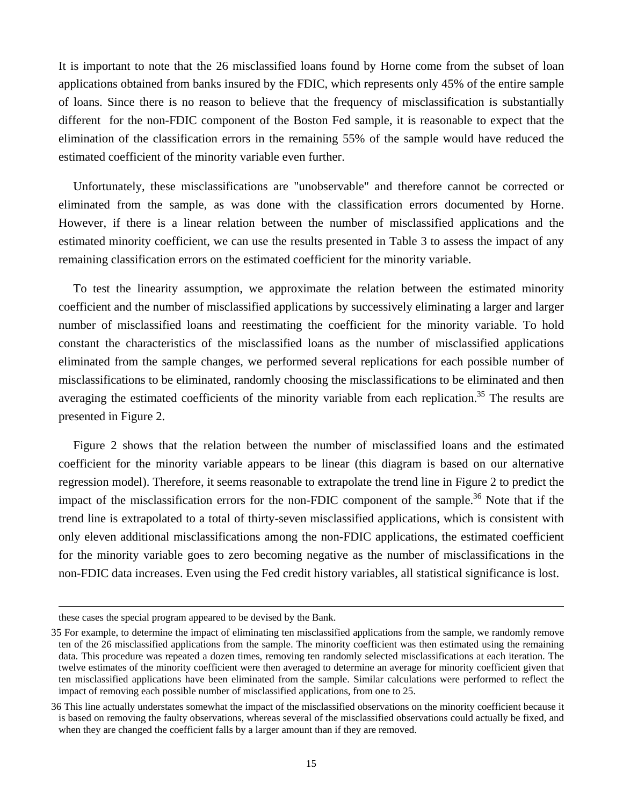It is important to note that the 26 misclassified loans found by Horne come from the subset of loan applications obtained from banks insured by the FDIC, which represents only 45% of the entire sample of loans. Since there is no reason to believe that the frequency of misclassification is substantially different for the non-FDIC component of the Boston Fed sample, it is reasonable to expect that the elimination of the classification errors in the remaining 55% of the sample would have reduced the estimated coefficient of the minority variable even further.

Unfortunately, these misclassifications are "unobservable" and therefore cannot be corrected or eliminated from the sample, as was done with the classification errors documented by Horne. However, if there is a linear relation between the number of misclassified applications and the estimated minority coefficient, we can use the results presented in Table 3 to assess the impact of any remaining classification errors on the estimated coefficient for the minority variable.

To test the linearity assumption, we approximate the relation between the estimated minority coefficient and the number of misclassified applications by successively eliminating a larger and larger number of misclassified loans and reestimating the coefficient for the minority variable. To hold constant the characteristics of the misclassified loans as the number of misclassified applications eliminated from the sample changes, we performed several replications for each possible number of misclassifications to be eliminated, randomly choosing the misclassifications to be eliminated and then averaging the estimated coefficients of the minority variable from each replication.<sup>35</sup> The results are presented in Figure 2.

Figure 2 shows that the relation between the number of misclassified loans and the estimated coefficient for the minority variable appears to be linear (this diagram is based on our alternative regression model). Therefore, it seems reasonable to extrapolate the trend line in Figure 2 to predict the impact of the misclassification errors for the non-FDIC component of the sample.<sup>36</sup> Note that if the trend line is extrapolated to a total of thirty-seven misclassified applications, which is consistent with only eleven additional misclassifications among the non-FDIC applications, the estimated coefficient for the minority variable goes to zero becoming negative as the number of misclassifications in the non-FDIC data increases. Even using the Fed credit history variables, all statistical significance is lost.

these cases the special program appeared to be devised by the Bank.

<sup>35</sup> For example, to determine the impact of eliminating ten misclassified applications from the sample, we randomly remove ten of the 26 misclassified applications from the sample. The minority coefficient was then estimated using the remaining data. This procedure was repeated a dozen times, removing ten randomly selected misclassifications at each iteration. The twelve estimates of the minority coefficient were then averaged to determine an average for minority coefficient given that ten misclassified applications have been eliminated from the sample. Similar calculations were performed to reflect the impact of removing each possible number of misclassified applications, from one to 25.

<sup>36</sup> This line actually understates somewhat the impact of the misclassified observations on the minority coefficient because it is based on removing the faulty observations, whereas several of the misclassified observations could actually be fixed, and when they are changed the coefficient falls by a larger amount than if they are removed.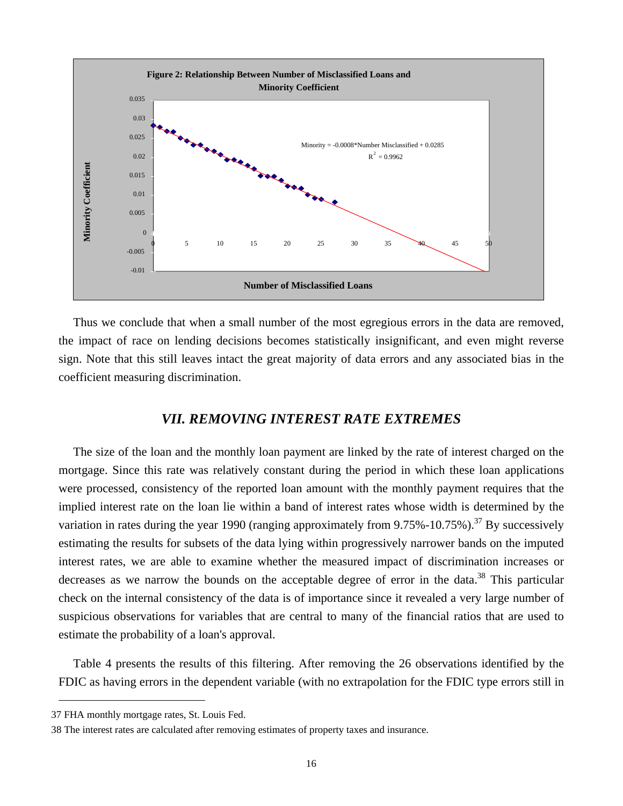

Thus we conclude that when a small number of the most egregious errors in the data are removed, the impact of race on lending decisions becomes statistically insignificant, and even might reverse sign. Note that this still leaves intact the great majority of data errors and any associated bias in the coefficient measuring discrimination.

# *VII. REMOVING INTEREST RATE EXTREMES*

The size of the loan and the monthly loan payment are linked by the rate of interest charged on the mortgage. Since this rate was relatively constant during the period in which these loan applications were processed, consistency of the reported loan amount with the monthly payment requires that the implied interest rate on the loan lie within a band of interest rates whose width is determined by the variation in rates during the year 1990 (ranging approximately from  $9.75\%$ -10.75%).<sup>37</sup> By successively estimating the results for subsets of the data lying within progressively narrower bands on the imputed interest rates, we are able to examine whether the measured impact of discrimination increases or decreases as we narrow the bounds on the acceptable degree of error in the data.<sup>38</sup> This particular check on the internal consistency of the data is of importance since it revealed a very large number of suspicious observations for variables that are central to many of the financial ratios that are used to estimate the probability of a loan's approval.

Table 4 presents the results of this filtering. After removing the 26 observations identified by the FDIC as having errors in the dependent variable (with no extrapolation for the FDIC type errors still in

<sup>37</sup> FHA monthly mortgage rates, St. Louis Fed.

<sup>38</sup> The interest rates are calculated after removing estimates of property taxes and insurance.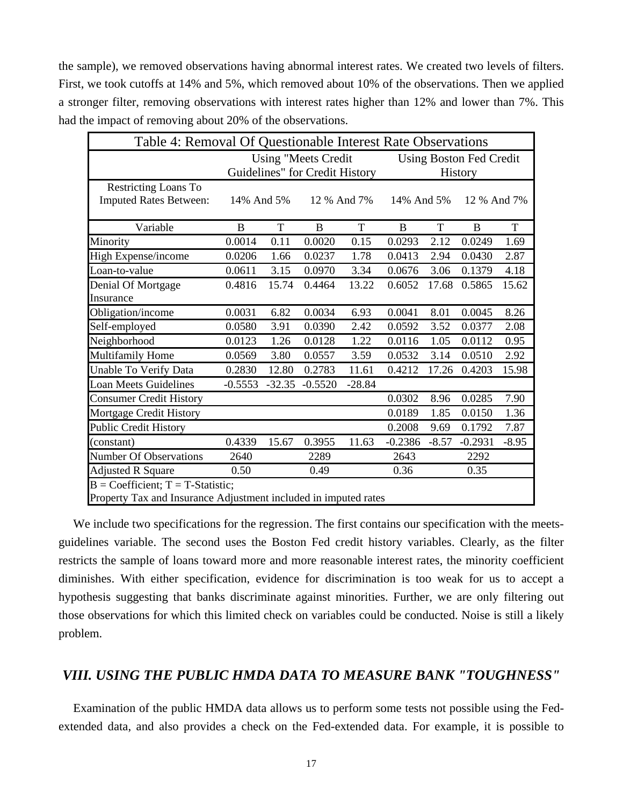the sample), we removed observations having abnormal interest rates. We created two levels of filters. First, we took cutoffs at 14% and 5%, which removed about 10% of the observations. Then we applied a stronger filter, removing observations with interest rates higher than 12% and lower than 7%. This had the impact of removing about 20% of the observations.

| Table 4: Removal Of Questionable Interest Rate Observations     |            |          |                                |             |            |         |                                |         |  |  |  |
|-----------------------------------------------------------------|------------|----------|--------------------------------|-------------|------------|---------|--------------------------------|---------|--|--|--|
|                                                                 |            |          | <b>Using "Meets Credit</b>     |             |            |         | <b>Using Boston Fed Credit</b> |         |  |  |  |
|                                                                 |            |          | Guidelines" for Credit History |             |            |         | History                        |         |  |  |  |
| <b>Restricting Loans To</b>                                     |            |          |                                |             |            |         |                                |         |  |  |  |
| <b>Imputed Rates Between:</b>                                   | 14% And 5% |          | 12 % And 7%                    |             | 14% And 5% |         | 12 % And 7%                    |         |  |  |  |
| Variable                                                        | B          | T        | B                              | $\mathbf T$ | B          | T       | B                              | T       |  |  |  |
|                                                                 | 0.0014     | 0.11     | 0.0020                         | 0.15        | 0.0293     | 2.12    | 0.0249                         | 1.69    |  |  |  |
| Minority                                                        |            |          |                                |             |            |         |                                |         |  |  |  |
| High Expense/income                                             | 0.0206     | 1.66     | 0.0237                         | 1.78        | 0.0413     | 2.94    | 0.0430                         | 2.87    |  |  |  |
| Loan-to-value                                                   | 0.0611     | 3.15     | 0.0970                         | 3.34        | 0.0676     | 3.06    | 0.1379                         | 4.18    |  |  |  |
| Denial Of Mortgage                                              | 0.4816     | 15.74    | 0.4464                         | 13.22       | 0.6052     | 17.68   | 0.5865                         | 15.62   |  |  |  |
| Insurance                                                       |            |          |                                |             |            |         |                                |         |  |  |  |
| Obligation/income                                               | 0.0031     | 6.82     | 0.0034                         | 6.93        | 0.0041     | 8.01    | 0.0045                         | 8.26    |  |  |  |
| Self-employed                                                   | 0.0580     | 3.91     | 0.0390                         | 2.42        | 0.0592     | 3.52    | 0.0377                         | 2.08    |  |  |  |
| Neighborhood                                                    | 0.0123     | 1.26     | 0.0128                         | 1.22        | 0.0116     | 1.05    | 0.0112                         | 0.95    |  |  |  |
| <b>Multifamily Home</b>                                         | 0.0569     | 3.80     | 0.0557                         | 3.59        | 0.0532     | 3.14    | 0.0510                         | 2.92    |  |  |  |
| Unable To Verify Data                                           | 0.2830     | 12.80    | 0.2783                         | 11.61       | 0.4212     | 17.26   | 0.4203                         | 15.98   |  |  |  |
| <b>Loan Meets Guidelines</b>                                    | $-0.5553$  | $-32.35$ | $-0.5520$                      | $-28.84$    |            |         |                                |         |  |  |  |
| <b>Consumer Credit History</b>                                  |            |          |                                |             | 0.0302     | 8.96    | 0.0285                         | 7.90    |  |  |  |
| Mortgage Credit History                                         |            |          |                                |             | 0.0189     | 1.85    | 0.0150                         | 1.36    |  |  |  |
| <b>Public Credit History</b>                                    |            |          |                                |             | 0.2008     | 9.69    | 0.1792                         | 7.87    |  |  |  |
| (constant)                                                      | 0.4339     | 15.67    | 0.3955                         | 11.63       | $-0.2386$  | $-8.57$ | $-0.2931$                      | $-8.95$ |  |  |  |
| <b>Number Of Observations</b>                                   | 2640       |          | 2289                           |             | 2643       |         | 2292                           |         |  |  |  |
| <b>Adjusted R Square</b>                                        | 0.50       |          | 0.49                           |             | 0.36       |         | 0.35                           |         |  |  |  |
| $B = Coefficient; T = T-Statistic;$                             |            |          |                                |             |            |         |                                |         |  |  |  |
| Property Tax and Insurance Adjustment included in imputed rates |            |          |                                |             |            |         |                                |         |  |  |  |

We include two specifications for the regression. The first contains our specification with the meetsguidelines variable. The second uses the Boston Fed credit history variables. Clearly, as the filter restricts the sample of loans toward more and more reasonable interest rates, the minority coefficient diminishes. With either specification, evidence for discrimination is too weak for us to accept a hypothesis suggesting that banks discriminate against minorities. Further, we are only filtering out those observations for which this limited check on variables could be conducted. Noise is still a likely problem.

### *VIII. USING THE PUBLIC HMDA DATA TO MEASURE BANK "TOUGHNESS"*

Examination of the public HMDA data allows us to perform some tests not possible using the Fedextended data, and also provides a check on the Fed-extended data. For example, it is possible to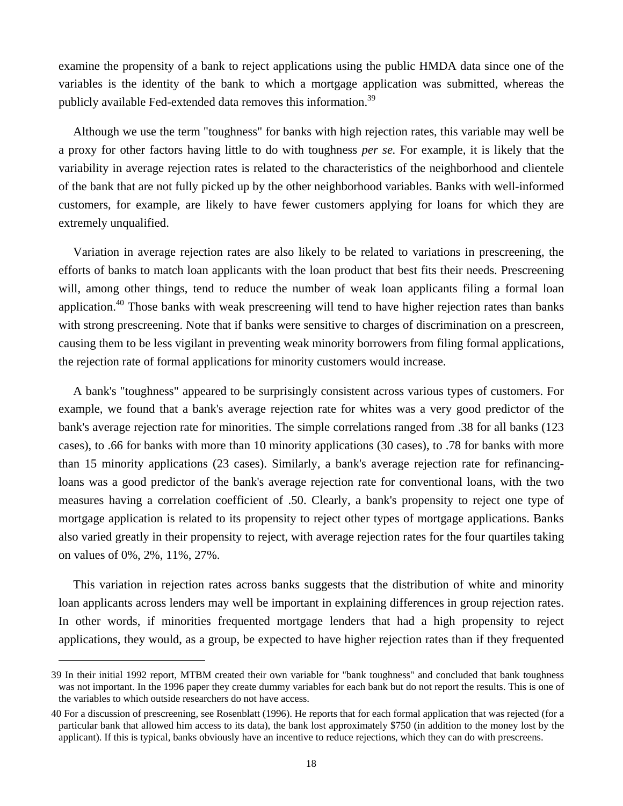examine the propensity of a bank to reject applications using the public HMDA data since one of the variables is the identity of the bank to which a mortgage application was submitted, whereas the publicly available Fed-extended data removes this information.<sup>39</sup>

Although we use the term "toughness" for banks with high rejection rates, this variable may well be a proxy for other factors having little to do with toughness *per se.* For example, it is likely that the variability in average rejection rates is related to the characteristics of the neighborhood and clientele of the bank that are not fully picked up by the other neighborhood variables. Banks with well-informed customers, for example, are likely to have fewer customers applying for loans for which they are extremely unqualified.

Variation in average rejection rates are also likely to be related to variations in prescreening, the efforts of banks to match loan applicants with the loan product that best fits their needs. Prescreening will, among other things, tend to reduce the number of weak loan applicants filing a formal loan application.<sup>40</sup> Those banks with weak prescreening will tend to have higher rejection rates than banks with strong prescreening. Note that if banks were sensitive to charges of discrimination on a prescreen, causing them to be less vigilant in preventing weak minority borrowers from filing formal applications, the rejection rate of formal applications for minority customers would increase.

A bank's "toughness" appeared to be surprisingly consistent across various types of customers. For example, we found that a bank's average rejection rate for whites was a very good predictor of the bank's average rejection rate for minorities. The simple correlations ranged from .38 for all banks (123 cases), to .66 for banks with more than 10 minority applications (30 cases), to .78 for banks with more than 15 minority applications (23 cases). Similarly, a bank's average rejection rate for refinancingloans was a good predictor of the bank's average rejection rate for conventional loans, with the two measures having a correlation coefficient of .50. Clearly, a bank's propensity to reject one type of mortgage application is related to its propensity to reject other types of mortgage applications. Banks also varied greatly in their propensity to reject, with average rejection rates for the four quartiles taking on values of 0%, 2%, 11%, 27%.

This variation in rejection rates across banks suggests that the distribution of white and minority loan applicants across lenders may well be important in explaining differences in group rejection rates. In other words, if minorities frequented mortgage lenders that had a high propensity to reject applications, they would, as a group, be expected to have higher rejection rates than if they frequented

<sup>39</sup> In their initial 1992 report, MTBM created their own variable for "bank toughness" and concluded that bank toughness was not important. In the 1996 paper they create dummy variables for each bank but do not report the results. This is one of the variables to which outside researchers do not have access.

<sup>40</sup> For a discussion of prescreening, see Rosenblatt (1996). He reports that for each formal application that was rejected (for a particular bank that allowed him access to its data), the bank lost approximately \$750 (in addition to the money lost by the applicant). If this is typical, banks obviously have an incentive to reduce rejections, which they can do with prescreens.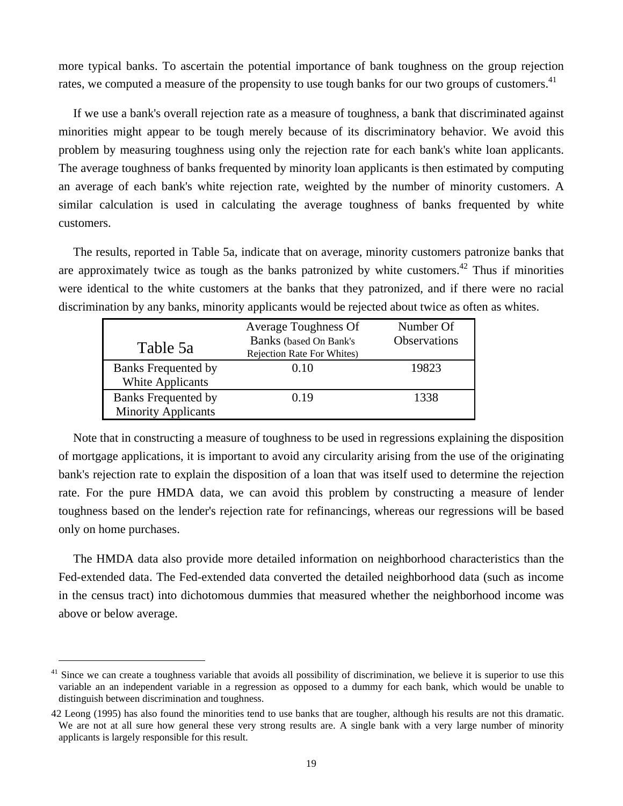more typical banks. To ascertain the potential importance of bank toughness on the group rejection rates, we computed a measure of the propensity to use tough banks for our two groups of customers.<sup>41</sup>

If we use a bank's overall rejection rate as a measure of toughness, a bank that discriminated against minorities might appear to be tough merely because of its discriminatory behavior. We avoid this problem by measuring toughness using only the rejection rate for each bank's white loan applicants. The average toughness of banks frequented by minority loan applicants is then estimated by computing an average of each bank's white rejection rate, weighted by the number of minority customers. A similar calculation is used in calculating the average toughness of banks frequented by white customers.

The results, reported in Table 5a, indicate that on average, minority customers patronize banks that are approximately twice as tough as the banks patronized by white customers. $42$  Thus if minorities were identical to the white customers at the banks that they patronized, and if there were no racial discrimination by any banks, minority applicants would be rejected about twice as often as whites.

|                            | Average Toughness Of              | Number Of           |
|----------------------------|-----------------------------------|---------------------|
| Table 5a                   | Banks (based On Bank's            | <b>Observations</b> |
|                            | <b>Rejection Rate For Whites)</b> |                     |
| Banks Frequented by        | 0.10                              | 19823               |
| White Applicants           |                                   |                     |
| <b>Banks Frequented by</b> | 0.19                              | 1338                |
| <b>Minority Applicants</b> |                                   |                     |

Note that in constructing a measure of toughness to be used in regressions explaining the disposition of mortgage applications, it is important to avoid any circularity arising from the use of the originating bank's rejection rate to explain the disposition of a loan that was itself used to determine the rejection rate. For the pure HMDA data, we can avoid this problem by constructing a measure of lender toughness based on the lender's rejection rate for refinancings, whereas our regressions will be based only on home purchases.

The HMDA data also provide more detailed information on neighborhood characteristics than the Fed-extended data. The Fed-extended data converted the detailed neighborhood data (such as income in the census tract) into dichotomous dummies that measured whether the neighborhood income was above or below average.

<sup>&</sup>lt;sup>41</sup> Since we can create a toughness variable that avoids all possibility of discrimination, we believe it is superior to use this variable an an independent variable in a regression as opposed to a dummy for each bank, which would be unable to distinguish between discrimination and toughness.

<sup>42</sup> Leong (1995) has also found the minorities tend to use banks that are tougher, although his results are not this dramatic. We are not at all sure how general these very strong results are. A single bank with a very large number of minority applicants is largely responsible for this result.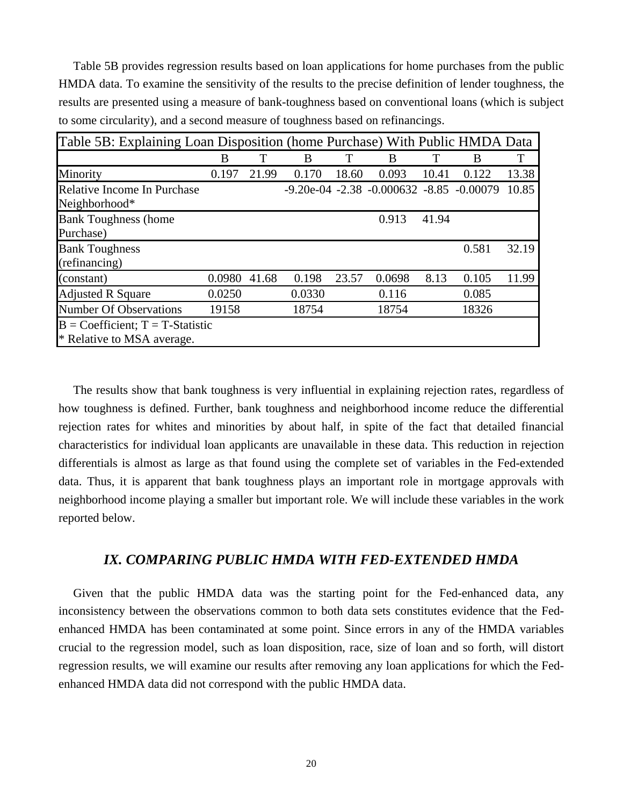Table 5B provides regression results based on loan applications for home purchases from the public HMDA data. To examine the sensitivity of the results to the precise definition of lender toughness, the results are presented using a measure of bank-toughness based on conventional loans (which is subject to some circularity), and a second measure of toughness based on refinancings.

| Table 5B: Explaining Loan Disposition (home Purchase) With Public HMDA Data |        |       |        |       |                                            |       |       |       |  |  |
|-----------------------------------------------------------------------------|--------|-------|--------|-------|--------------------------------------------|-------|-------|-------|--|--|
|                                                                             | B      | T     | B      | T     | B                                          |       | B     | T     |  |  |
| Minority                                                                    | 0.197  | 21.99 | 0.170  | 18.60 | 0.093                                      | 10.41 | 0.122 | 13.38 |  |  |
| Relative Income In Purchase                                                 |        |       |        |       | $-9.20e-04 -2.38 -0.000632 -8.85 -0.00079$ |       |       | 10.85 |  |  |
| Neighborhood*                                                               |        |       |        |       |                                            |       |       |       |  |  |
| <b>Bank Toughness (home</b>                                                 |        |       |        |       | 0.913                                      | 41.94 |       |       |  |  |
| Purchase)                                                                   |        |       |        |       |                                            |       |       |       |  |  |
| <b>Bank Toughness</b>                                                       |        |       |        |       |                                            |       | 0.581 | 32.19 |  |  |
| (refinancing)                                                               |        |       |        |       |                                            |       |       |       |  |  |
| (constant)                                                                  | 0.0980 | 41.68 | 0.198  | 23.57 | 0.0698                                     | 8.13  | 0.105 | 11.99 |  |  |
| <b>Adjusted R Square</b>                                                    | 0.0250 |       | 0.0330 |       | 0.116                                      |       | 0.085 |       |  |  |
| <b>Number Of Observations</b>                                               | 19158  |       | 18754  |       | 18754                                      |       | 18326 |       |  |  |
| $B = Coefficient$ ; $T = T-Statistic$                                       |        |       |        |       |                                            |       |       |       |  |  |
| * Relative to MSA average.                                                  |        |       |        |       |                                            |       |       |       |  |  |

The results show that bank toughness is very influential in explaining rejection rates, regardless of how toughness is defined. Further, bank toughness and neighborhood income reduce the differential rejection rates for whites and minorities by about half, in spite of the fact that detailed financial characteristics for individual loan applicants are unavailable in these data. This reduction in rejection differentials is almost as large as that found using the complete set of variables in the Fed-extended data. Thus, it is apparent that bank toughness plays an important role in mortgage approvals with neighborhood income playing a smaller but important role. We will include these variables in the work reported below.

### *IX. COMPARING PUBLIC HMDA WITH FED-EXTENDED HMDA*

Given that the public HMDA data was the starting point for the Fed-enhanced data, any inconsistency between the observations common to both data sets constitutes evidence that the Fedenhanced HMDA has been contaminated at some point. Since errors in any of the HMDA variables crucial to the regression model, such as loan disposition, race, size of loan and so forth, will distort regression results, we will examine our results after removing any loan applications for which the Fedenhanced HMDA data did not correspond with the public HMDA data.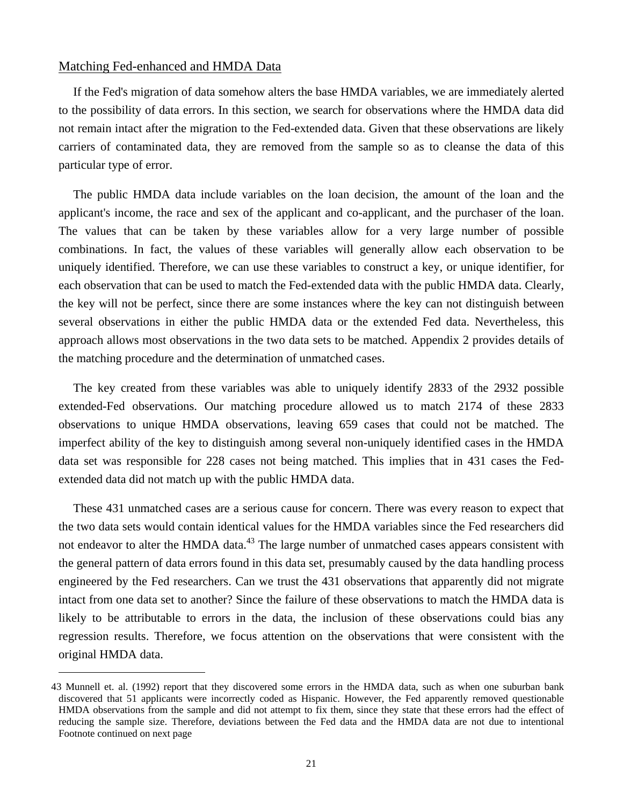#### Matching Fed-enhanced and HMDA Data

l

If the Fed's migration of data somehow alters the base HMDA variables, we are immediately alerted to the possibility of data errors. In this section, we search for observations where the HMDA data did not remain intact after the migration to the Fed-extended data. Given that these observations are likely carriers of contaminated data, they are removed from the sample so as to cleanse the data of this particular type of error.

The public HMDA data include variables on the loan decision, the amount of the loan and the applicant's income, the race and sex of the applicant and co-applicant, and the purchaser of the loan. The values that can be taken by these variables allow for a very large number of possible combinations. In fact, the values of these variables will generally allow each observation to be uniquely identified. Therefore, we can use these variables to construct a key, or unique identifier, for each observation that can be used to match the Fed-extended data with the public HMDA data. Clearly, the key will not be perfect, since there are some instances where the key can not distinguish between several observations in either the public HMDA data or the extended Fed data. Nevertheless, this approach allows most observations in the two data sets to be matched. Appendix 2 provides details of the matching procedure and the determination of unmatched cases.

The key created from these variables was able to uniquely identify 2833 of the 2932 possible extended-Fed observations. Our matching procedure allowed us to match 2174 of these 2833 observations to unique HMDA observations, leaving 659 cases that could not be matched. The imperfect ability of the key to distinguish among several non-uniquely identified cases in the HMDA data set was responsible for 228 cases not being matched. This implies that in 431 cases the Fedextended data did not match up with the public HMDA data.

These 431 unmatched cases are a serious cause for concern. There was every reason to expect that the two data sets would contain identical values for the HMDA variables since the Fed researchers did not endeavor to alter the HMDA data.<sup>43</sup> The large number of unmatched cases appears consistent with the general pattern of data errors found in this data set, presumably caused by the data handling process engineered by the Fed researchers. Can we trust the 431 observations that apparently did not migrate intact from one data set to another? Since the failure of these observations to match the HMDA data is likely to be attributable to errors in the data, the inclusion of these observations could bias any regression results. Therefore, we focus attention on the observations that were consistent with the original HMDA data.

<sup>43</sup> Munnell et. al. (1992) report that they discovered some errors in the HMDA data, such as when one suburban bank discovered that 51 applicants were incorrectly coded as Hispanic. However, the Fed apparently removed questionable HMDA observations from the sample and did not attempt to fix them, since they state that these errors had the effect of reducing the sample size. Therefore, deviations between the Fed data and the HMDA data are not due to intentional Footnote continued on next page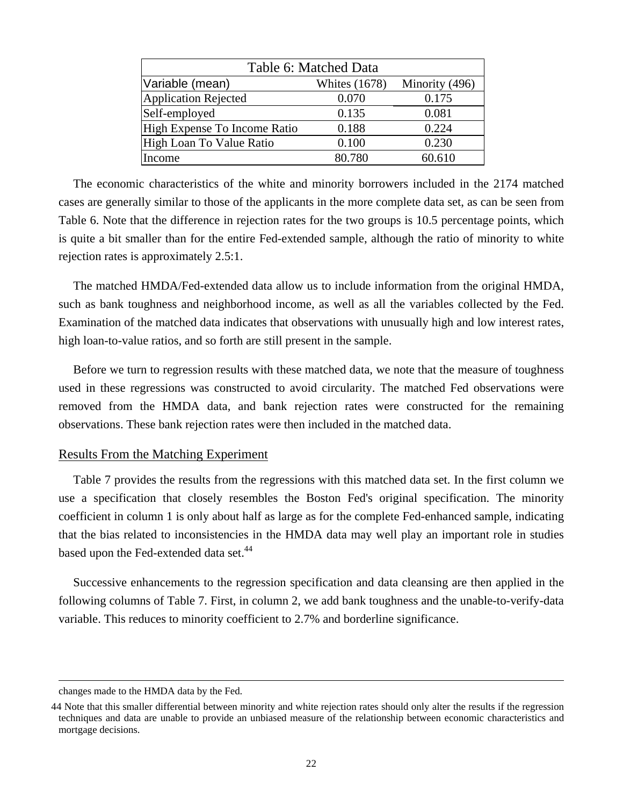| Table 6: Matched Data        |                      |                |  |  |  |  |  |  |  |
|------------------------------|----------------------|----------------|--|--|--|--|--|--|--|
| Variable (mean)              | <b>Whites (1678)</b> | Minority (496) |  |  |  |  |  |  |  |
| <b>Application Rejected</b>  | 0.070                | 0.175          |  |  |  |  |  |  |  |
| Self-employed                | 0.135                | 0.081          |  |  |  |  |  |  |  |
| High Expense To Income Ratio | 0.188                | 0.224          |  |  |  |  |  |  |  |
| High Loan To Value Ratio     | 0.100                | 0.230          |  |  |  |  |  |  |  |
| Income                       | 80.780               | 60.610         |  |  |  |  |  |  |  |

The economic characteristics of the white and minority borrowers included in the 2174 matched cases are generally similar to those of the applicants in the more complete data set, as can be seen from Table 6. Note that the difference in rejection rates for the two groups is 10.5 percentage points, which is quite a bit smaller than for the entire Fed-extended sample, although the ratio of minority to white rejection rates is approximately 2.5:1.

The matched HMDA/Fed-extended data allow us to include information from the original HMDA, such as bank toughness and neighborhood income, as well as all the variables collected by the Fed. Examination of the matched data indicates that observations with unusually high and low interest rates, high loan-to-value ratios, and so forth are still present in the sample.

Before we turn to regression results with these matched data, we note that the measure of toughness used in these regressions was constructed to avoid circularity. The matched Fed observations were removed from the HMDA data, and bank rejection rates were constructed for the remaining observations. These bank rejection rates were then included in the matched data.

#### Results From the Matching Experiment

Table 7 provides the results from the regressions with this matched data set. In the first column we use a specification that closely resembles the Boston Fed's original specification. The minority coefficient in column 1 is only about half as large as for the complete Fed-enhanced sample, indicating that the bias related to inconsistencies in the HMDA data may well play an important role in studies based upon the Fed-extended data set.<sup>44</sup>

Successive enhancements to the regression specification and data cleansing are then applied in the following columns of Table 7. First, in column 2, we add bank toughness and the unable-to-verify-data variable. This reduces to minority coefficient to 2.7% and borderline significance.

changes made to the HMDA data by the Fed.

<sup>44</sup> Note that this smaller differential between minority and white rejection rates should only alter the results if the regression techniques and data are unable to provide an unbiased measure of the relationship between economic characteristics and mortgage decisions.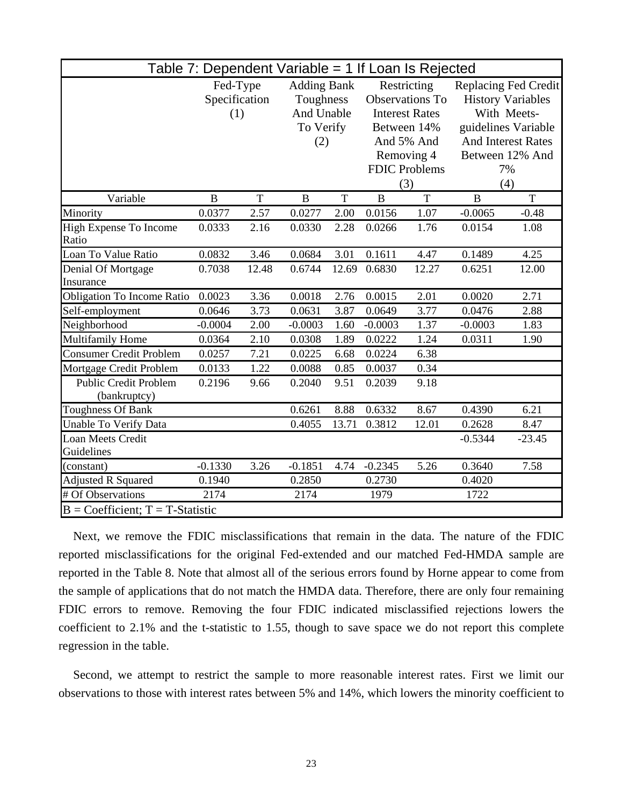|                                       | Table 7: Dependent Variable = 1 If Loan Is Rejected |       |                |       |                |                        |           |                           |  |
|---------------------------------------|-----------------------------------------------------|-------|----------------|-------|----------------|------------------------|-----------|---------------------------|--|
|                                       | Fed-Type                                            |       |                |       |                | Restricting            |           | Replacing Fed Credit      |  |
|                                       | Specification                                       |       | Toughness      |       |                | <b>Observations To</b> |           | <b>History Variables</b>  |  |
|                                       | (1)                                                 |       | And Unable     |       |                | <b>Interest Rates</b>  |           | With Meets-               |  |
|                                       |                                                     |       | To Verify      |       |                | Between 14%            |           | guidelines Variable       |  |
|                                       |                                                     |       | (2)            |       |                | And 5% And             |           | <b>And Interest Rates</b> |  |
|                                       |                                                     |       |                |       |                | Removing 4             |           | Between 12% And           |  |
|                                       |                                                     |       |                |       |                | <b>FDIC Problems</b>   |           | 7%                        |  |
|                                       |                                                     |       |                |       |                | (3)                    |           | (4)                       |  |
| Variable                              | $\bf{B}$                                            | T     | $\overline{B}$ | T     | $\overline{B}$ | $\overline{T}$         | $\bf{B}$  | T                         |  |
| Minority                              | 0.0377                                              | 2.57  | 0.0277         | 2.00  | 0.0156         | 1.07                   | $-0.0065$ | $-0.48$                   |  |
| High Expense To Income                | 0.0333                                              | 2.16  | 0.0330         | 2.28  | 0.0266         | 1.76                   | 0.0154    | 1.08                      |  |
| Ratio                                 |                                                     |       |                |       |                |                        |           |                           |  |
| Loan To Value Ratio                   | 0.0832                                              | 3.46  | 0.0684         | 3.01  | 0.1611         | 4.47                   | 0.1489    | 4.25                      |  |
| Denial Of Mortgage<br>Insurance       | 0.7038                                              | 12.48 | 0.6744         | 12.69 | 0.6830         | 12.27                  | 0.6251    | 12.00                     |  |
| <b>Obligation To Income Ratio</b>     | 0.0023                                              | 3.36  | 0.0018         | 2.76  | 0.0015         | 2.01                   | 0.0020    | 2.71                      |  |
| Self-employment                       | 0.0646                                              | 3.73  | 0.0631         | 3.87  | 0.0649         | 3.77                   | 0.0476    | 2.88                      |  |
| Neighborhood                          | $-0.0004$                                           | 2.00  | $-0.0003$      | 1.60  | $-0.0003$      | 1.37                   | $-0.0003$ | 1.83                      |  |
| Multifamily Home                      | 0.0364                                              | 2.10  | 0.0308         | 1.89  | 0.0222         | 1.24                   | 0.0311    | 1.90                      |  |
| <b>Consumer Credit Problem</b>        | 0.0257                                              | 7.21  | 0.0225         | 6.68  | 0.0224         | 6.38                   |           |                           |  |
| Mortgage Credit Problem               | 0.0133                                              | 1.22  | 0.0088         | 0.85  | 0.0037         | 0.34                   |           |                           |  |
| Public Credit Problem                 | 0.2196                                              | 9.66  | 0.2040         | 9.51  | 0.2039         | 9.18                   |           |                           |  |
| (bankruptcy)                          |                                                     |       |                |       |                |                        |           |                           |  |
| <b>Toughness Of Bank</b>              |                                                     |       | 0.6261         | 8.88  | 0.6332         | 8.67                   | 0.4390    | 6.21                      |  |
| <b>Unable To Verify Data</b>          |                                                     |       | 0.4055         | 13.71 | 0.3812         | 12.01                  | 0.2628    | 8.47                      |  |
| Loan Meets Credit                     |                                                     |       |                |       |                |                        | $-0.5344$ | $-23.45$                  |  |
| Guidelines                            |                                                     |       |                |       |                |                        |           |                           |  |
| (constant)                            | $-0.1330$                                           | 3.26  | $-0.1851$      | 4.74  | $-0.2345$      | 5.26                   | 0.3640    | 7.58                      |  |
| <b>Adjusted R Squared</b>             | 0.1940                                              |       | 0.2850         |       | 0.2730         |                        | 0.4020    |                           |  |
| # Of Observations                     | 2174                                                |       | 2174           |       | 1979           |                        | 1722      |                           |  |
| $B = Coefficient$ ; $T = T-Statistic$ |                                                     |       |                |       |                |                        |           |                           |  |

Next, we remove the FDIC misclassifications that remain in the data. The nature of the FDIC reported misclassifications for the original Fed-extended and our matched Fed-HMDA sample are reported in the Table 8. Note that almost all of the serious errors found by Horne appear to come from the sample of applications that do not match the HMDA data. Therefore, there are only four remaining FDIC errors to remove. Removing the four FDIC indicated misclassified rejections lowers the coefficient to 2.1% and the t-statistic to 1.55, though to save space we do not report this complete regression in the table.

Second, we attempt to restrict the sample to more reasonable interest rates. First we limit our observations to those with interest rates between 5% and 14%, which lowers the minority coefficient to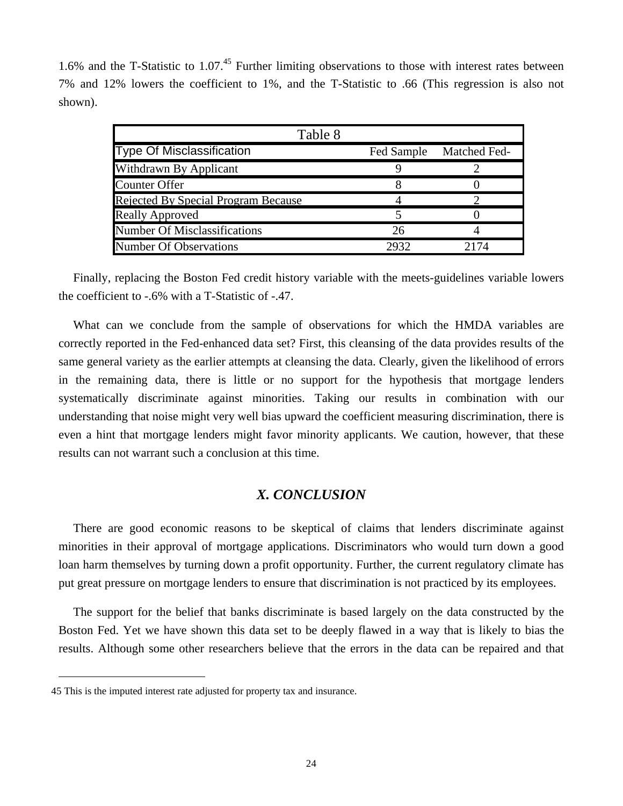1.6% and the T-Statistic to  $1.07<sup>45</sup>$  Further limiting observations to those with interest rates between 7% and 12% lowers the coefficient to 1%, and the T-Statistic to .66 (This regression is also not shown).

| Table 8                                    |            |              |
|--------------------------------------------|------------|--------------|
| <b>Type Of Misclassification</b>           | Fed Sample | Matched Fed- |
| Withdrawn By Applicant                     |            |              |
| <b>Counter Offer</b>                       |            |              |
| <b>Rejected By Special Program Because</b> |            |              |
| <b>Really Approved</b>                     |            |              |
| <b>Number Of Misclassifications</b>        | 26         |              |
| <b>Number Of Observations</b>              | 2932       | 2174         |

Finally, replacing the Boston Fed credit history variable with the meets-guidelines variable lowers the coefficient to -.6% with a T-Statistic of -.47.

What can we conclude from the sample of observations for which the HMDA variables are correctly reported in the Fed-enhanced data set? First, this cleansing of the data provides results of the same general variety as the earlier attempts at cleansing the data. Clearly, given the likelihood of errors in the remaining data, there is little or no support for the hypothesis that mortgage lenders systematically discriminate against minorities. Taking our results in combination with our understanding that noise might very well bias upward the coefficient measuring discrimination, there is even a hint that mortgage lenders might favor minority applicants. We caution, however, that these results can not warrant such a conclusion at this time.

## *X. CONCLUSION*

There are good economic reasons to be skeptical of claims that lenders discriminate against minorities in their approval of mortgage applications. Discriminators who would turn down a good loan harm themselves by turning down a profit opportunity. Further, the current regulatory climate has put great pressure on mortgage lenders to ensure that discrimination is not practiced by its employees.

The support for the belief that banks discriminate is based largely on the data constructed by the Boston Fed. Yet we have shown this data set to be deeply flawed in a way that is likely to bias the results. Although some other researchers believe that the errors in the data can be repaired and that

<sup>45</sup> This is the imputed interest rate adjusted for property tax and insurance.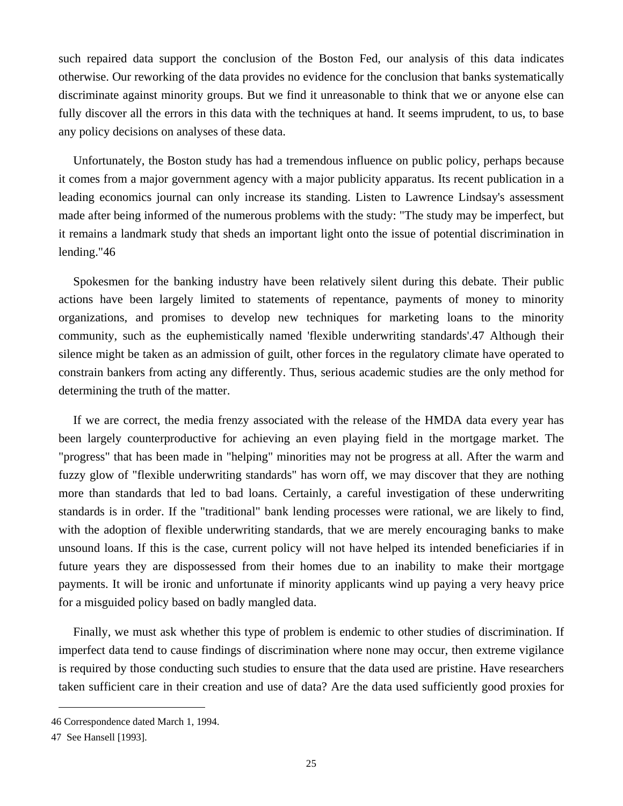such repaired data support the conclusion of the Boston Fed, our analysis of this data indicates otherwise. Our reworking of the data provides no evidence for the conclusion that banks systematically discriminate against minority groups. But we find it unreasonable to think that we or anyone else can fully discover all the errors in this data with the techniques at hand. It seems imprudent, to us, to base any policy decisions on analyses of these data.

Unfortunately, the Boston study has had a tremendous influence on public policy, perhaps because it comes from a major government agency with a major publicity apparatus. Its recent publication in a leading economics journal can only increase its standing. Listen to Lawrence Lindsay's assessment made after being informed of the numerous problems with the study: "The study may be imperfect, but it remains a landmark study that sheds an important light onto the issue of potential discrimination in lending."46

Spokesmen for the banking industry have been relatively silent during this debate. Their public actions have been largely limited to statements of repentance, payments of money to minority organizations, and promises to develop new techniques for marketing loans to the minority community, such as the euphemistically named 'flexible underwriting standards'.47 Although their silence might be taken as an admission of guilt, other forces in the regulatory climate have operated to constrain bankers from acting any differently. Thus, serious academic studies are the only method for determining the truth of the matter.

If we are correct, the media frenzy associated with the release of the HMDA data every year has been largely counterproductive for achieving an even playing field in the mortgage market. The "progress" that has been made in "helping" minorities may not be progress at all. After the warm and fuzzy glow of "flexible underwriting standards" has worn off, we may discover that they are nothing more than standards that led to bad loans. Certainly, a careful investigation of these underwriting standards is in order. If the "traditional" bank lending processes were rational, we are likely to find, with the adoption of flexible underwriting standards, that we are merely encouraging banks to make unsound loans. If this is the case, current policy will not have helped its intended beneficiaries if in future years they are dispossessed from their homes due to an inability to make their mortgage payments. It will be ironic and unfortunate if minority applicants wind up paying a very heavy price for a misguided policy based on badly mangled data.

Finally, we must ask whether this type of problem is endemic to other studies of discrimination. If imperfect data tend to cause findings of discrimination where none may occur, then extreme vigilance is required by those conducting such studies to ensure that the data used are pristine. Have researchers taken sufficient care in their creation and use of data? Are the data used sufficiently good proxies for

<sup>46</sup> Correspondence dated March 1, 1994.

<sup>47</sup> See Hansell [1993].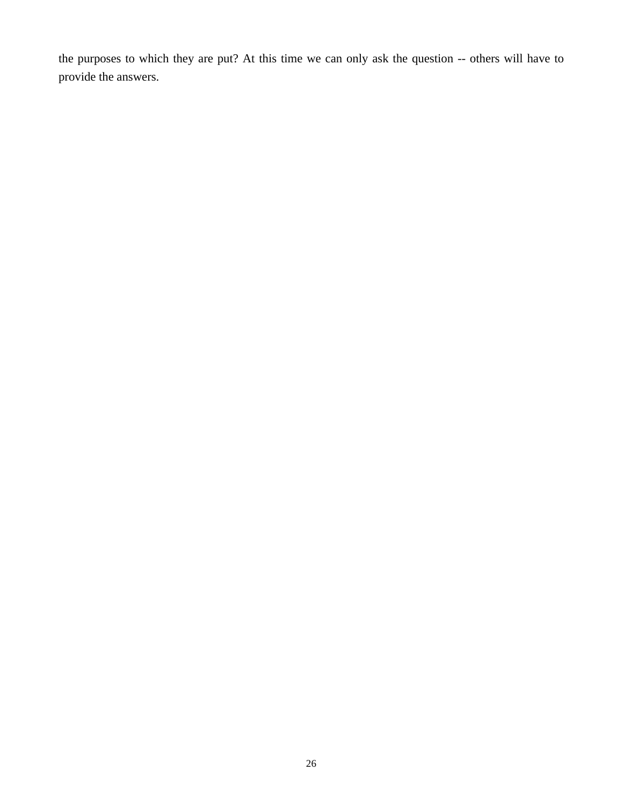the purposes to which they are put? At this time we can only ask the question -- others will have to provide the answers.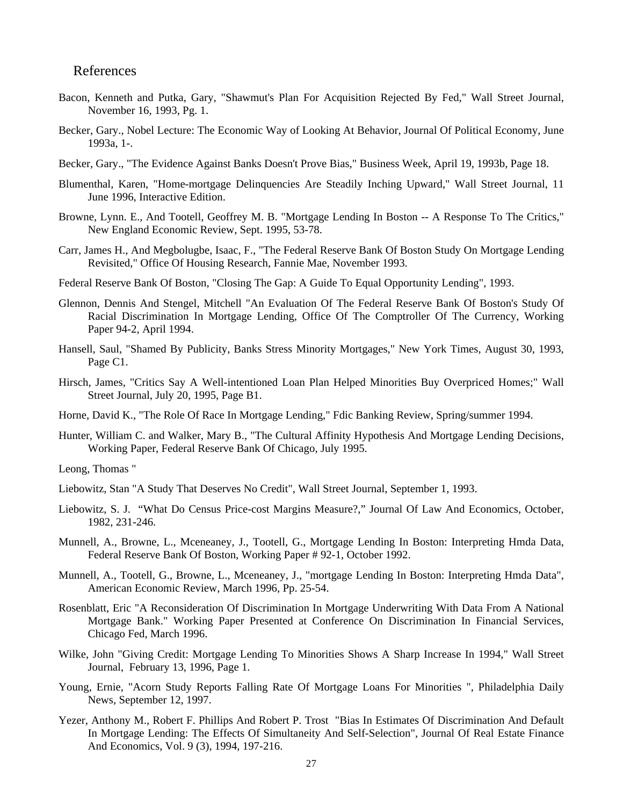#### References

- Bacon, Kenneth and Putka, Gary, "Shawmut's Plan For Acquisition Rejected By Fed," Wall Street Journal, November 16, 1993, Pg. 1.
- Becker, Gary., Nobel Lecture: The Economic Way of Looking At Behavior, Journal Of Political Economy, June 1993a, 1-.
- Becker, Gary., "The Evidence Against Banks Doesn't Prove Bias," Business Week, April 19, 1993b, Page 18.
- Blumenthal, Karen, "Home-mortgage Delinquencies Are Steadily Inching Upward," Wall Street Journal, 11 June 1996, Interactive Edition.
- Browne, Lynn. E., And Tootell, Geoffrey M. B. "Mortgage Lending In Boston -- A Response To The Critics," New England Economic Review, Sept. 1995, 53-78.
- Carr, James H., And Megbolugbe, Isaac, F., "The Federal Reserve Bank Of Boston Study On Mortgage Lending Revisited," Office Of Housing Research, Fannie Mae, November 1993.
- Federal Reserve Bank Of Boston, "Closing The Gap: A Guide To Equal Opportunity Lending", 1993.
- Glennon, Dennis And Stengel, Mitchell "An Evaluation Of The Federal Reserve Bank Of Boston's Study Of Racial Discrimination In Mortgage Lending, Office Of The Comptroller Of The Currency, Working Paper 94-2, April 1994.
- Hansell, Saul, "Shamed By Publicity, Banks Stress Minority Mortgages," New York Times, August 30, 1993, Page C1.
- Hirsch, James, "Critics Say A Well-intentioned Loan Plan Helped Minorities Buy Overpriced Homes;" Wall Street Journal, July 20, 1995, Page B1.
- Horne, David K., "The Role Of Race In Mortgage Lending," Fdic Banking Review, Spring/summer 1994.
- Hunter, William C. and Walker, Mary B., "The Cultural Affinity Hypothesis And Mortgage Lending Decisions, Working Paper, Federal Reserve Bank Of Chicago, July 1995.

Leong, Thomas "

- Liebowitz, Stan "A Study That Deserves No Credit", Wall Street Journal, September 1, 1993.
- Liebowitz, S. J. "What Do Census Price-cost Margins Measure?," Journal Of Law And Economics, October, 1982, 231-246.
- Munnell, A., Browne, L., Mceneaney, J., Tootell, G., Mortgage Lending In Boston: Interpreting Hmda Data, Federal Reserve Bank Of Boston, Working Paper # 92-1, October 1992.
- Munnell, A., Tootell, G., Browne, L., Mceneaney, J., "mortgage Lending In Boston: Interpreting Hmda Data", American Economic Review, March 1996, Pp. 25-54.
- Rosenblatt, Eric "A Reconsideration Of Discrimination In Mortgage Underwriting With Data From A National Mortgage Bank." Working Paper Presented at Conference On Discrimination In Financial Services, Chicago Fed, March 1996.
- Wilke, John "Giving Credit: Mortgage Lending To Minorities Shows A Sharp Increase In 1994," Wall Street Journal, February 13, 1996, Page 1.
- Young, Ernie, "Acorn Study Reports Falling Rate Of Mortgage Loans For Minorities ", Philadelphia Daily News, September 12, 1997.
- Yezer, Anthony M., Robert F. Phillips And Robert P. Trost "Bias In Estimates Of Discrimination And Default In Mortgage Lending: The Effects Of Simultaneity And Self-Selection", Journal Of Real Estate Finance And Economics, Vol. 9 (3), 1994, 197-216.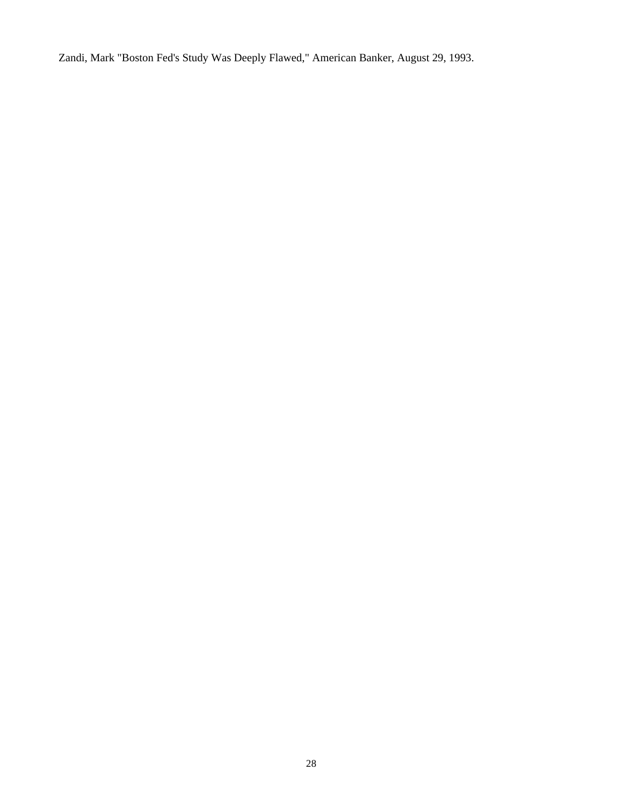Zandi, Mark "Boston Fed's Study Was Deeply Flawed," American Banker, August 29, 1993.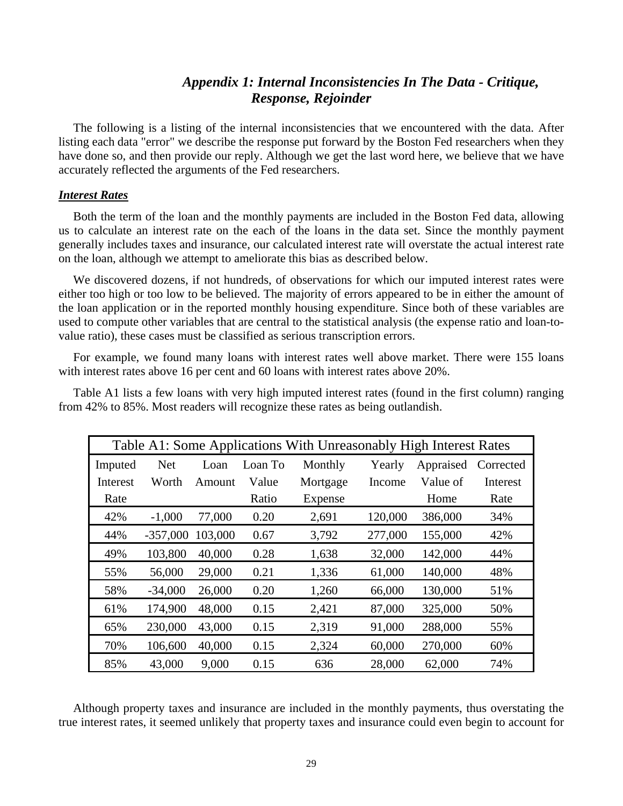# *Appendix 1: Internal Inconsistencies In The Data - Critique, Response, Rejoinder*

The following is a listing of the internal inconsistencies that we encountered with the data. After listing each data "error" we describe the response put forward by the Boston Fed researchers when they have done so, and then provide our reply. Although we get the last word here, we believe that we have accurately reflected the arguments of the Fed researchers.

#### *Interest Rates*

Both the term of the loan and the monthly payments are included in the Boston Fed data, allowing us to calculate an interest rate on the each of the loans in the data set. Since the monthly payment generally includes taxes and insurance, our calculated interest rate will overstate the actual interest rate on the loan, although we attempt to ameliorate this bias as described below.

We discovered dozens, if not hundreds, of observations for which our imputed interest rates were either too high or too low to be believed. The majority of errors appeared to be in either the amount of the loan application or in the reported monthly housing expenditure. Since both of these variables are used to compute other variables that are central to the statistical analysis (the expense ratio and loan-tovalue ratio), these cases must be classified as serious transcription errors.

For example, we found many loans with interest rates well above market. There were 155 loans with interest rates above 16 per cent and 60 loans with interest rates above 20%.

Table A1 lists a few loans with very high imputed interest rates (found in the first column) ranging from 42% to 85%. Most readers will recognize these rates as being outlandish.

|          | Table A1: Some Applications With Unreasonably High Interest Rates |         |         |          |         |           |           |  |  |  |  |
|----------|-------------------------------------------------------------------|---------|---------|----------|---------|-----------|-----------|--|--|--|--|
| Imputed  | <b>Net</b>                                                        | Loan    | Loan To | Monthly  | Yearly  | Appraised | Corrected |  |  |  |  |
| Interest | Worth                                                             | Amount  | Value   | Mortgage | Income  | Value of  | Interest  |  |  |  |  |
| Rate     |                                                                   |         | Ratio   | Expense  |         | Home      | Rate      |  |  |  |  |
| 42%      | $-1,000$                                                          | 77,000  | 0.20    | 2,691    | 120,000 | 386,000   | 34%       |  |  |  |  |
| 44%      | $-357,000$                                                        | 103,000 | 0.67    | 3,792    | 277,000 | 155,000   | 42%       |  |  |  |  |
| 49%      | 103,800                                                           | 40,000  | 0.28    | 1,638    | 32,000  | 142,000   | 44%       |  |  |  |  |
| 55%      | 56,000                                                            | 29,000  | 0.21    | 1,336    | 61,000  | 140,000   | 48%       |  |  |  |  |
| 58%      | $-34,000$                                                         | 26,000  | 0.20    | 1,260    | 66,000  | 130,000   | 51%       |  |  |  |  |
| 61%      | 174,900                                                           | 48,000  | 0.15    | 2,421    | 87,000  | 325,000   | 50%       |  |  |  |  |
| 65%      | 230,000                                                           | 43,000  | 0.15    | 2,319    | 91,000  | 288,000   | 55%       |  |  |  |  |
| 70%      | 106,600                                                           | 40,000  | 0.15    | 2,324    | 60,000  | 270,000   | 60%       |  |  |  |  |
| 85%      | 43,000                                                            | 9,000   | 0.15    | 636      | 28,000  | 62,000    | 74%       |  |  |  |  |

Although property taxes and insurance are included in the monthly payments, thus overstating the true interest rates, it seemed unlikely that property taxes and insurance could even begin to account for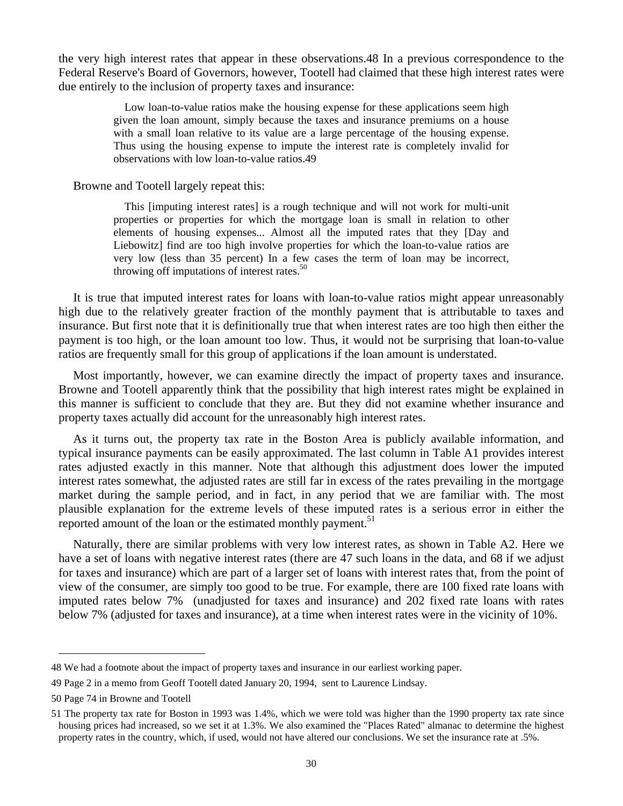the very high interest rates that appear in these observations.48 In a previous correspondence to the Federal Reserve's Board of Governors, however, Tootell had claimed that these high interest rates were due entirely to the inclusion of property taxes and insurance:

> Low loan-to-value ratios make the housing expense for these applications seem high given the loan amount, simply because the taxes and insurance premiums on a house with a small loan relative to its value are a large percentage of the housing expense. Thus using the housing expense to impute the interest rate is completely invalid for observations with low loan-to-value ratios.49

Browne and Tootell largely repeat this:

This [imputing interest rates] is a rough technique and will not work for multi-unit properties or properties for which the mortgage loan is small in relation to other elements of housing expenses... Almost all the imputed rates that they [Day and Liebowitz] find are too high involve properties for which the loan-to-value ratios are very low (less than 35 percent) In a few cases the term of loan may be incorrect, throwing off imputations of interest rates.<sup>50</sup>

It is true that imputed interest rates for loans with loan-to-value ratios might appear unreasonably high due to the relatively greater fraction of the monthly payment that is attributable to taxes and insurance. But first note that it is definitionally true that when interest rates are too high then either the payment is too high, or the loan amount too low. Thus, it would not be surprising that loan-to-value ratios are frequently small for this group of applications if the loan amount is understated.

Most importantly, however, we can examine directly the impact of property taxes and insurance. Browne and Tootell apparently think that the possibility that high interest rates might be explained in this manner is sufficient to conclude that they are. But they did not examine whether insurance and property taxes actually did account for the unreasonably high interest rates.

As it turns out, the property tax rate in the Boston Area is publicly available information, and typical insurance payments can be easily approximated. The last column in Table A1 provides interest rates adjusted exactly in this manner. Note that although this adjustment does lower the imputed interest rates somewhat, the adjusted rates are still far in excess of the rates prevailing in the mortgage market during the sample period, and in fact, in any period that we are familiar with. The most plausible explanation for the extreme levels of these imputed rates is a serious error in either the reported amount of the loan or the estimated monthly payment.<sup>51</sup>

Naturally, there are similar problems with very low interest rates, as shown in Table A2. Here we have a set of loans with negative interest rates (there are 47 such loans in the data, and 68 if we adjust for taxes and insurance) which are part of a larger set of loans with interest rates that, from the point of view of the consumer, are simply too good to be true. For example, there are 100 fixed rate loans with imputed rates below 7% (unadjusted for taxes and insurance) and 202 fixed rate loans with rates below 7% (adjusted for taxes and insurance), at a time when interest rates were in the vicinity of 10%.

<sup>48</sup> We had a footnote about the impact of property taxes and insurance in our earliest working paper.

<sup>49</sup> Page 2 in a memo from Geoff Tootell dated January 20, 1994, sent to Laurence Lindsay.

<sup>50</sup> Page 74 in Browne and Tootell

<sup>51</sup> The property tax rate for Boston in 1993 was 1.4%, which we were told was higher than the 1990 property tax rate since housing prices had increased, so we set it at 1.3%. We also examined the "Places Rated" almanac to determine the highest property rates in the country, which, if used, would not have altered our conclusions. We set the insurance rate at .5%.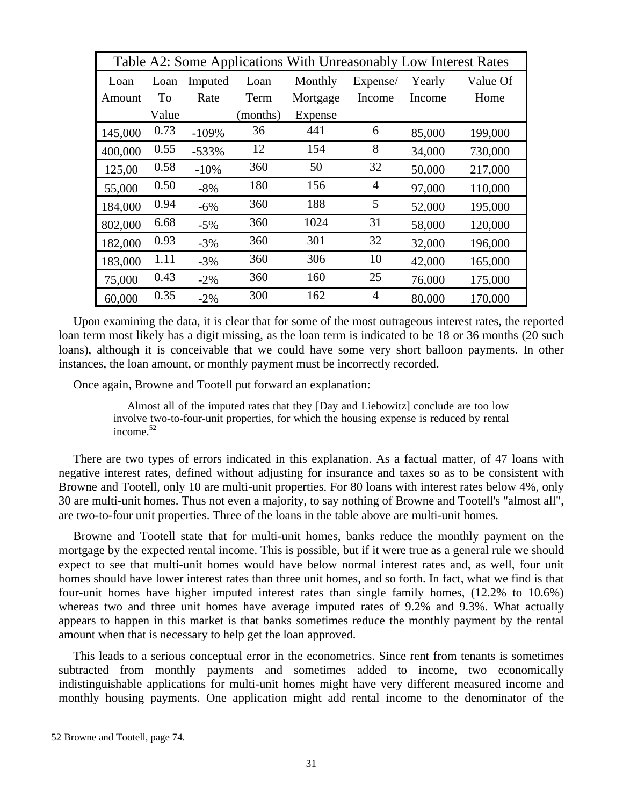|         | Table A2: Some Applications With Unreasonably Low Interest Rates |         |          |          |          |        |          |  |  |  |  |
|---------|------------------------------------------------------------------|---------|----------|----------|----------|--------|----------|--|--|--|--|
| Loan    | Loan                                                             | Imputed | Loan     | Monthly  | Expense/ | Yearly | Value Of |  |  |  |  |
| Amount  | To                                                               | Rate    | Term     | Mortgage | Income   | Income | Home     |  |  |  |  |
|         | Value                                                            |         | (months) | Expense  |          |        |          |  |  |  |  |
| 145,000 | 0.73                                                             | $-109%$ | 36       | 441      | 6        | 85,000 | 199,000  |  |  |  |  |
| 400,000 | 0.55                                                             | $-533%$ | 12       | 154      | 8        | 34,000 | 730,000  |  |  |  |  |
| 125,00  | 0.58                                                             | $-10%$  | 360      | 50       | 32       | 50,000 | 217,000  |  |  |  |  |
| 55,000  | 0.50                                                             | $-8\%$  | 180      | 156      | 4        | 97,000 | 110,000  |  |  |  |  |
| 184,000 | 0.94                                                             | $-6%$   | 360      | 188      | 5        | 52,000 | 195,000  |  |  |  |  |
| 802,000 | 6.68                                                             | $-5\%$  | 360      | 1024     | 31       | 58,000 | 120,000  |  |  |  |  |
| 182,000 | 0.93                                                             | $-3%$   | 360      | 301      | 32       | 32,000 | 196,000  |  |  |  |  |
| 183,000 | 1.11                                                             | $-3\%$  | 360      | 306      | 10       | 42,000 | 165,000  |  |  |  |  |
| 75,000  | 0.43                                                             | $-2\%$  | 360      | 160      | 25       | 76,000 | 175,000  |  |  |  |  |
| 60,000  | 0.35                                                             | $-2\%$  | 300      | 162      | 4        | 80,000 | 170,000  |  |  |  |  |

Upon examining the data, it is clear that for some of the most outrageous interest rates, the reported loan term most likely has a digit missing, as the loan term is indicated to be 18 or 36 months (20 such loans), although it is conceivable that we could have some very short balloon payments. In other instances, the loan amount, or monthly payment must be incorrectly recorded.

Once again, Browne and Tootell put forward an explanation:

 Almost all of the imputed rates that they [Day and Liebowitz] conclude are too low involve two-to-four-unit properties, for which the housing expense is reduced by rental income.<sup>52</sup>

There are two types of errors indicated in this explanation. As a factual matter, of 47 loans with negative interest rates, defined without adjusting for insurance and taxes so as to be consistent with Browne and Tootell, only 10 are multi-unit properties. For 80 loans with interest rates below 4%, only 30 are multi-unit homes. Thus not even a majority, to say nothing of Browne and Tootell's "almost all", are two-to-four unit properties. Three of the loans in the table above are multi-unit homes.

Browne and Tootell state that for multi-unit homes, banks reduce the monthly payment on the mortgage by the expected rental income. This is possible, but if it were true as a general rule we should expect to see that multi-unit homes would have below normal interest rates and, as well, four unit homes should have lower interest rates than three unit homes, and so forth. In fact, what we find is that four-unit homes have higher imputed interest rates than single family homes, (12.2% to 10.6%) whereas two and three unit homes have average imputed rates of 9.2% and 9.3%. What actually appears to happen in this market is that banks sometimes reduce the monthly payment by the rental amount when that is necessary to help get the loan approved.

This leads to a serious conceptual error in the econometrics. Since rent from tenants is sometimes subtracted from monthly payments and sometimes added to income, two economically indistinguishable applications for multi-unit homes might have very different measured income and monthly housing payments. One application might add rental income to the denominator of the

<sup>52</sup> Browne and Tootell, page 74.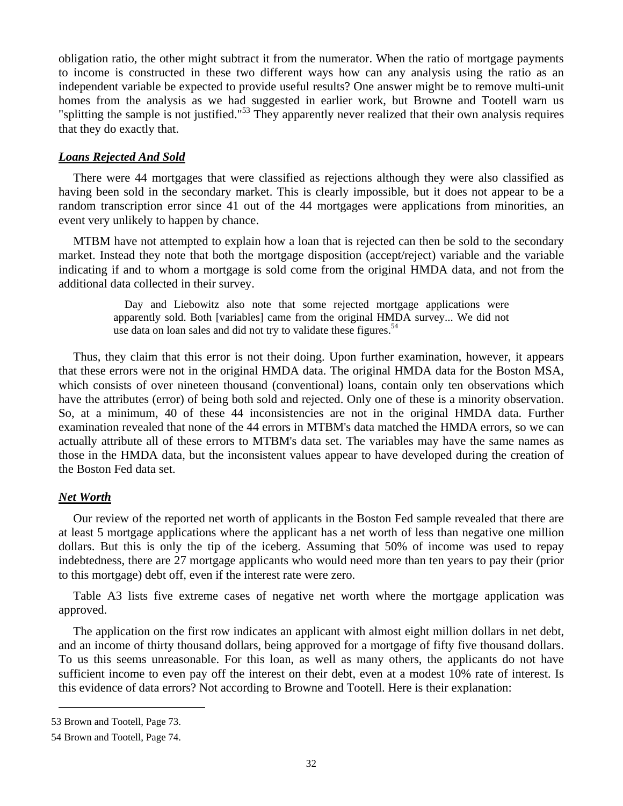obligation ratio, the other might subtract it from the numerator. When the ratio of mortgage payments to income is constructed in these two different ways how can any analysis using the ratio as an independent variable be expected to provide useful results? One answer might be to remove multi-unit homes from the analysis as we had suggested in earlier work, but Browne and Tootell warn us "splitting the sample is not justified."<sup>53</sup> They apparently never realized that their own analysis requires that they do exactly that.

#### *Loans Rejected And Sold*

There were 44 mortgages that were classified as rejections although they were also classified as having been sold in the secondary market. This is clearly impossible, but it does not appear to be a random transcription error since 41 out of the 44 mortgages were applications from minorities, an event very unlikely to happen by chance.

MTBM have not attempted to explain how a loan that is rejected can then be sold to the secondary market. Instead they note that both the mortgage disposition (accept/reject) variable and the variable indicating if and to whom a mortgage is sold come from the original HMDA data, and not from the additional data collected in their survey.

> Day and Liebowitz also note that some rejected mortgage applications were apparently sold. Both [variables] came from the original HMDA survey... We did not use data on loan sales and did not try to validate these figures.<sup>54</sup>

Thus, they claim that this error is not their doing. Upon further examination, however, it appears that these errors were not in the original HMDA data. The original HMDA data for the Boston MSA, which consists of over nineteen thousand (conventional) loans, contain only ten observations which have the attributes (error) of being both sold and rejected. Only one of these is a minority observation. So, at a minimum, 40 of these 44 inconsistencies are not in the original HMDA data. Further examination revealed that none of the 44 errors in MTBM's data matched the HMDA errors, so we can actually attribute all of these errors to MTBM's data set. The variables may have the same names as those in the HMDA data, but the inconsistent values appear to have developed during the creation of the Boston Fed data set.

### *Net Worth*

Our review of the reported net worth of applicants in the Boston Fed sample revealed that there are at least 5 mortgage applications where the applicant has a net worth of less than negative one million dollars. But this is only the tip of the iceberg. Assuming that 50% of income was used to repay indebtedness, there are 27 mortgage applicants who would need more than ten years to pay their (prior to this mortgage) debt off, even if the interest rate were zero.

Table A3 lists five extreme cases of negative net worth where the mortgage application was approved.

The application on the first row indicates an applicant with almost eight million dollars in net debt, and an income of thirty thousand dollars, being approved for a mortgage of fifty five thousand dollars. To us this seems unreasonable. For this loan, as well as many others, the applicants do not have sufficient income to even pay off the interest on their debt, even at a modest 10% rate of interest. Is this evidence of data errors? Not according to Browne and Tootell. Here is their explanation:

<sup>53</sup> Brown and Tootell, Page 73.

<sup>54</sup> Brown and Tootell, Page 74.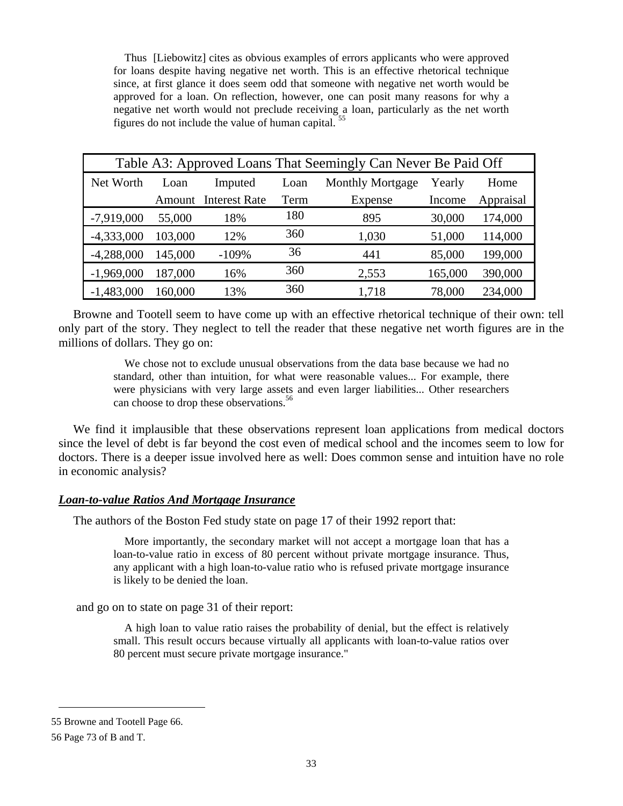Thus [Liebowitz] cites as obvious examples of errors applicants who were approved for loans despite having negative net worth. This is an effective rhetorical technique since, at first glance it does seem odd that someone with negative net worth would be approved for a loan. On reflection, however, one can posit many reasons for why a negative net worth would not preclude receiving a loan, particularly as the net worth figures do not include the value of human capital.  $55$ 

| Table A3: Approved Loans That Seemingly Can Never Be Paid Off |         |                      |                                           |         |         |           |  |  |  |  |
|---------------------------------------------------------------|---------|----------------------|-------------------------------------------|---------|---------|-----------|--|--|--|--|
| Net Worth                                                     | Loan    | Imputed              | <b>Monthly Mortgage</b><br>Yearly<br>Loan |         |         |           |  |  |  |  |
|                                                               | Amount  | <b>Interest Rate</b> | <b>Term</b>                               | Expense | Income  | Appraisal |  |  |  |  |
| $-7,919,000$                                                  | 55,000  | 18%                  | 180                                       | 895     | 30,000  | 174,000   |  |  |  |  |
| $-4,333,000$                                                  | 103,000 | 12%                  | 360                                       | 1,030   | 51,000  | 114,000   |  |  |  |  |
| $-4,288,000$                                                  | 145,000 | $-109%$              | 36                                        | 441     | 85,000  | 199,000   |  |  |  |  |
| $-1,969,000$                                                  | 187,000 | 16%                  | 360                                       | 2,553   | 165,000 | 390,000   |  |  |  |  |
| $-1,483,000$                                                  | 160,000 | 13%                  | 360                                       | 1,718   | 78,000  | 234,000   |  |  |  |  |

Browne and Tootell seem to have come up with an effective rhetorical technique of their own: tell only part of the story. They neglect to tell the reader that these negative net worth figures are in the millions of dollars. They go on:

> We chose not to exclude unusual observations from the data base because we had no standard, other than intuition, for what were reasonable values... For example, there were physicians with very large assets and even larger liabilities... Other researchers can choose to drop these observations.<sup>56</sup>

We find it implausible that these observations represent loan applications from medical doctors since the level of debt is far beyond the cost even of medical school and the incomes seem to low for doctors. There is a deeper issue involved here as well: Does common sense and intuition have no role in economic analysis?

#### *Loan-to-value Ratios And Mortgage Insurance*

The authors of the Boston Fed study state on page 17 of their 1992 report that:

More importantly, the secondary market will not accept a mortgage loan that has a loan-to-value ratio in excess of 80 percent without private mortgage insurance. Thus, any applicant with a high loan-to-value ratio who is refused private mortgage insurance is likely to be denied the loan.

and go on to state on page 31 of their report:

A high loan to value ratio raises the probability of denial, but the effect is relatively small. This result occurs because virtually all applicants with loan-to-value ratios over 80 percent must secure private mortgage insurance."

<sup>55</sup> Browne and Tootell Page 66.

<sup>56</sup> Page 73 of B and T.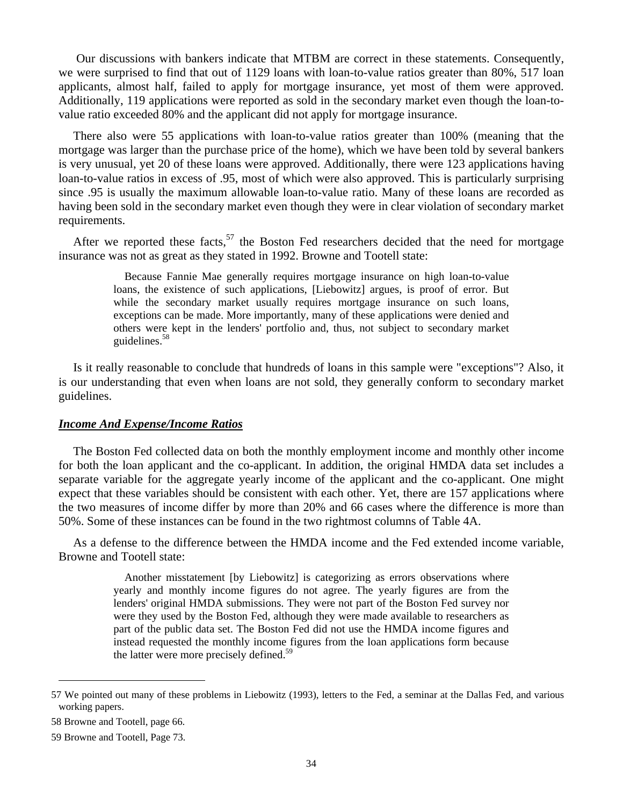Our discussions with bankers indicate that MTBM are correct in these statements. Consequently, we were surprised to find that out of 1129 loans with loan-to-value ratios greater than 80%, 517 loan applicants, almost half, failed to apply for mortgage insurance, yet most of them were approved. Additionally, 119 applications were reported as sold in the secondary market even though the loan-tovalue ratio exceeded 80% and the applicant did not apply for mortgage insurance.

There also were 55 applications with loan-to-value ratios greater than 100% (meaning that the mortgage was larger than the purchase price of the home), which we have been told by several bankers is very unusual, yet 20 of these loans were approved. Additionally, there were 123 applications having loan-to-value ratios in excess of .95, most of which were also approved. This is particularly surprising since .95 is usually the maximum allowable loan-to-value ratio. Many of these loans are recorded as having been sold in the secondary market even though they were in clear violation of secondary market requirements.

After we reported these facts,  $57$  the Boston Fed researchers decided that the need for mortgage insurance was not as great as they stated in 1992. Browne and Tootell state:

> Because Fannie Mae generally requires mortgage insurance on high loan-to-value loans, the existence of such applications, [Liebowitz] argues, is proof of error. But while the secondary market usually requires mortgage insurance on such loans, exceptions can be made. More importantly, many of these applications were denied and others were kept in the lenders' portfolio and, thus, not subject to secondary market guidelines.58

Is it really reasonable to conclude that hundreds of loans in this sample were "exceptions"? Also, it is our understanding that even when loans are not sold, they generally conform to secondary market guidelines.

#### *Income And Expense/Income Ratios*

The Boston Fed collected data on both the monthly employment income and monthly other income for both the loan applicant and the co-applicant. In addition, the original HMDA data set includes a separate variable for the aggregate yearly income of the applicant and the co-applicant. One might expect that these variables should be consistent with each other. Yet, there are 157 applications where the two measures of income differ by more than 20% and 66 cases where the difference is more than 50%. Some of these instances can be found in the two rightmost columns of Table 4A.

As a defense to the difference between the HMDA income and the Fed extended income variable, Browne and Tootell state:

> Another misstatement [by Liebowitz] is categorizing as errors observations where yearly and monthly income figures do not agree. The yearly figures are from the lenders' original HMDA submissions. They were not part of the Boston Fed survey nor were they used by the Boston Fed, although they were made available to researchers as part of the public data set. The Boston Fed did not use the HMDA income figures and instead requested the monthly income figures from the loan applications form because the latter were more precisely defined.<sup>59</sup>

<sup>57</sup> We pointed out many of these problems in Liebowitz (1993), letters to the Fed, a seminar at the Dallas Fed, and various working papers.

<sup>58</sup> Browne and Tootell, page 66.

<sup>59</sup> Browne and Tootell, Page 73.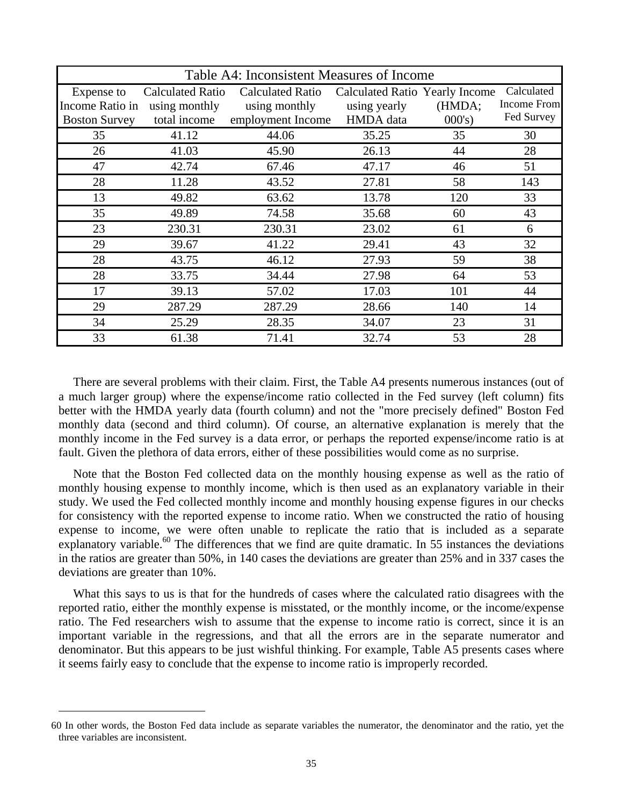| Table A4: Inconsistent Measures of Income             |                                                          |                                                               |                                                             |                  |                                         |  |  |  |
|-------------------------------------------------------|----------------------------------------------------------|---------------------------------------------------------------|-------------------------------------------------------------|------------------|-----------------------------------------|--|--|--|
| Expense to<br>Income Ratio in<br><b>Boston Survey</b> | <b>Calculated Ratio</b><br>using monthly<br>total income | <b>Calculated Ratio</b><br>using monthly<br>employment Income | Calculated Ratio Yearly Income<br>using yearly<br>HMDA data | (HMDA;<br>000's) | Calculated<br>Income From<br>Fed Survey |  |  |  |
| 35                                                    | 41.12                                                    | 44.06                                                         | 35.25                                                       | 35               | 30                                      |  |  |  |
| 26                                                    | 41.03                                                    | 45.90                                                         | 26.13                                                       | 44               | 28                                      |  |  |  |
| 47                                                    | 42.74                                                    | 67.46                                                         | 47.17                                                       | 46               | 51                                      |  |  |  |
| 28                                                    | 11.28                                                    | 43.52                                                         | 27.81                                                       | 58               | 143                                     |  |  |  |
| 13                                                    | 49.82                                                    | 63.62                                                         | 13.78                                                       | 120              | 33                                      |  |  |  |
| 35                                                    | 49.89                                                    | 74.58                                                         | 35.68                                                       | 60               | 43                                      |  |  |  |
| 23                                                    | 230.31                                                   | 230.31                                                        | 23.02                                                       | 61               | 6                                       |  |  |  |
| 29                                                    | 39.67                                                    | 41.22                                                         | 29.41                                                       | 43               | 32                                      |  |  |  |
| 28                                                    | 43.75                                                    | 46.12                                                         | 27.93                                                       | 59               | 38                                      |  |  |  |
| 28                                                    | 33.75                                                    | 34.44                                                         | 27.98                                                       | 64               | 53                                      |  |  |  |
| 17                                                    | 39.13                                                    | 57.02                                                         | 17.03                                                       | 101              | 44                                      |  |  |  |
| 29                                                    | 287.29                                                   | 287.29                                                        | 28.66                                                       | 140              | 14                                      |  |  |  |
| 34                                                    | 25.29                                                    | 28.35                                                         | 34.07                                                       | 23               | 31                                      |  |  |  |
| 33                                                    | 61.38                                                    | 71.41                                                         | 32.74                                                       | 53               | 28                                      |  |  |  |

There are several problems with their claim. First, the Table A4 presents numerous instances (out of a much larger group) where the expense/income ratio collected in the Fed survey (left column) fits better with the HMDA yearly data (fourth column) and not the "more precisely defined" Boston Fed monthly data (second and third column). Of course, an alternative explanation is merely that the monthly income in the Fed survey is a data error, or perhaps the reported expense/income ratio is at fault. Given the plethora of data errors, either of these possibilities would come as no surprise.

Note that the Boston Fed collected data on the monthly housing expense as well as the ratio of monthly housing expense to monthly income, which is then used as an explanatory variable in their study. We used the Fed collected monthly income and monthly housing expense figures in our checks for consistency with the reported expense to income ratio. When we constructed the ratio of housing expense to income, we were often unable to replicate the ratio that is included as a separate explanatory variable.<sup>60</sup> The differences that we find are quite dramatic. In 55 instances the deviations in the ratios are greater than 50%, in 140 cases the deviations are greater than 25% and in 337 cases the deviations are greater than 10%.

What this says to us is that for the hundreds of cases where the calculated ratio disagrees with the reported ratio, either the monthly expense is misstated, or the monthly income, or the income/expense ratio. The Fed researchers wish to assume that the expense to income ratio is correct, since it is an important variable in the regressions, and that all the errors are in the separate numerator and denominator. But this appears to be just wishful thinking. For example, Table A5 presents cases where it seems fairly easy to conclude that the expense to income ratio is improperly recorded.

<sup>60</sup> In other words, the Boston Fed data include as separate variables the numerator, the denominator and the ratio, yet the three variables are inconsistent.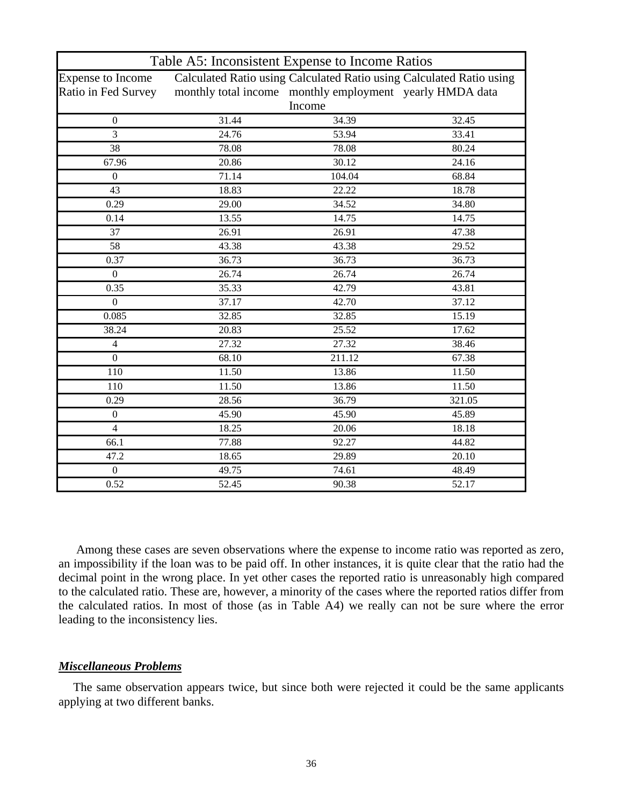|                          | Table A5: Inconsistent Expense to Income Ratios |                                                          |                                                                      |
|--------------------------|-------------------------------------------------|----------------------------------------------------------|----------------------------------------------------------------------|
| <b>Expense to Income</b> |                                                 |                                                          | Calculated Ratio using Calculated Ratio using Calculated Ratio using |
| Ratio in Fed Survey      |                                                 | monthly total income monthly employment yearly HMDA data |                                                                      |
|                          |                                                 | Income                                                   |                                                                      |
| $\boldsymbol{0}$         | 31.44                                           | 34.39                                                    | 32.45                                                                |
| 3                        | 24.76                                           | 53.94                                                    | 33.41                                                                |
| 38                       | 78.08                                           | 78.08                                                    | 80.24                                                                |
| 67.96                    | 20.86                                           | 30.12                                                    | 24.16                                                                |
| $\boldsymbol{0}$         | 71.14                                           | 104.04                                                   | 68.84                                                                |
| 43                       | 18.83                                           | 22.22                                                    | 18.78                                                                |
| 0.29                     | 29.00                                           | 34.52                                                    | 34.80                                                                |
| 0.14                     | 13.55                                           | 14.75                                                    | 14.75                                                                |
| 37                       | 26.91                                           | 26.91                                                    | 47.38                                                                |
| 58                       | 43.38                                           | 43.38                                                    | 29.52                                                                |
| 0.37                     | 36.73                                           | 36.73                                                    | 36.73                                                                |
| $\overline{0}$           | 26.74                                           | 26.74                                                    | 26.74                                                                |
| 0.35                     | 35.33                                           | 42.79                                                    | 43.81                                                                |
| $\boldsymbol{0}$         | 37.17                                           | 42.70                                                    | 37.12                                                                |
| 0.085                    | 32.85                                           | 32.85                                                    | 15.19                                                                |
| 38.24                    | 20.83                                           | 25.52                                                    | 17.62                                                                |
| $\overline{4}$           | 27.32                                           | 27.32                                                    | 38.46                                                                |
| $\overline{0}$           | 68.10                                           | 211.12                                                   | 67.38                                                                |
| 110                      | 11.50                                           | 13.86                                                    | 11.50                                                                |
| 110                      | 11.50                                           | 13.86                                                    | 11.50                                                                |
| 0.29                     | 28.56                                           | 36.79                                                    | 321.05                                                               |
| $\boldsymbol{0}$         | 45.90                                           | 45.90                                                    | 45.89                                                                |
| $\overline{4}$           | 18.25                                           | 20.06                                                    | 18.18                                                                |
| 66.1                     | 77.88                                           | 92.27                                                    | 44.82                                                                |
| 47.2                     | 18.65                                           | 29.89                                                    | 20.10                                                                |
| $\boldsymbol{0}$         | 49.75                                           | 74.61                                                    | 48.49                                                                |
| 0.52                     | 52.45                                           | 90.38                                                    | 52.17                                                                |

 Among these cases are seven observations where the expense to income ratio was reported as zero, an impossibility if the loan was to be paid off. In other instances, it is quite clear that the ratio had the decimal point in the wrong place. In yet other cases the reported ratio is unreasonably high compared to the calculated ratio. These are, however, a minority of the cases where the reported ratios differ from the calculated ratios. In most of those (as in Table A4) we really can not be sure where the error leading to the inconsistency lies.

#### *Miscellaneous Problems*

The same observation appears twice, but since both were rejected it could be the same applicants applying at two different banks.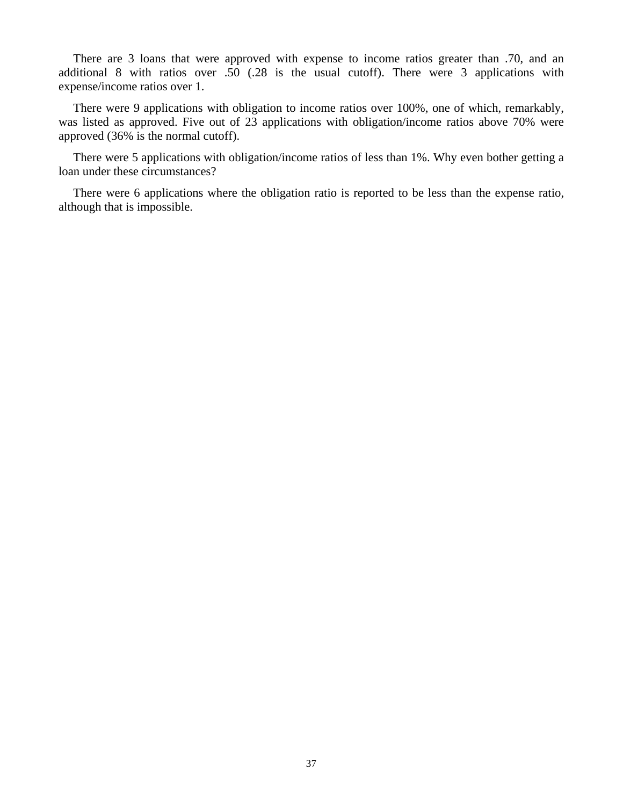There are 3 loans that were approved with expense to income ratios greater than .70, and an additional 8 with ratios over .50 (.28 is the usual cutoff). There were 3 applications with expense/income ratios over 1.

There were 9 applications with obligation to income ratios over 100%, one of which, remarkably, was listed as approved. Five out of 23 applications with obligation/income ratios above 70% were approved (36% is the normal cutoff).

There were 5 applications with obligation/income ratios of less than 1%. Why even bother getting a loan under these circumstances?

There were 6 applications where the obligation ratio is reported to be less than the expense ratio, although that is impossible.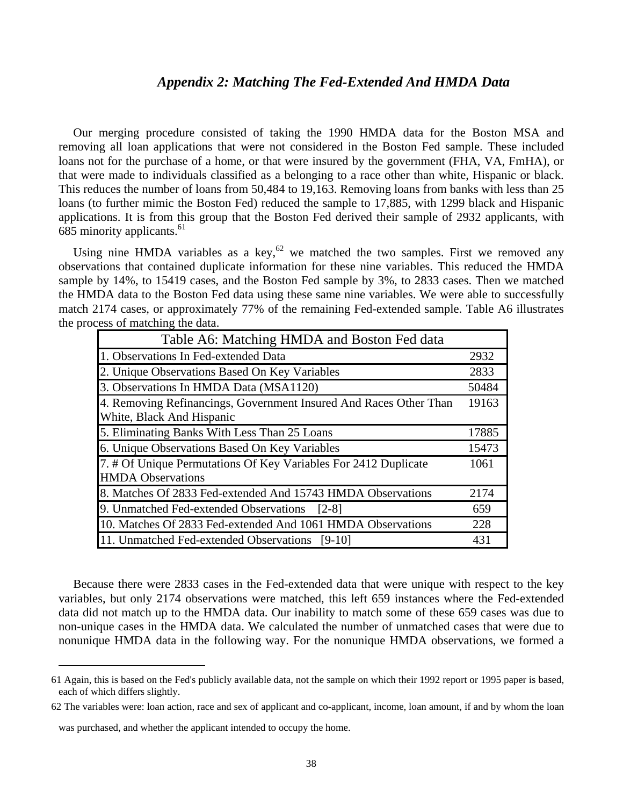### *Appendix 2: Matching The Fed-Extended And HMDA Data*

Our merging procedure consisted of taking the 1990 HMDA data for the Boston MSA and removing all loan applications that were not considered in the Boston Fed sample. These included loans not for the purchase of a home, or that were insured by the government (FHA, VA, FmHA), or that were made to individuals classified as a belonging to a race other than white, Hispanic or black. This reduces the number of loans from 50,484 to 19,163. Removing loans from banks with less than 25 loans (to further mimic the Boston Fed) reduced the sample to 17,885, with 1299 black and Hispanic applications. It is from this group that the Boston Fed derived their sample of 2932 applicants, with 685 minority applicants.<sup>61</sup>

Using nine HMDA variables as a key,<sup>62</sup> we matched the two samples. First we removed any observations that contained duplicate information for these nine variables. This reduced the HMDA sample by 14%, to 15419 cases, and the Boston Fed sample by 3%, to 2833 cases. Then we matched the HMDA data to the Boston Fed data using these same nine variables. We were able to successfully match 2174 cases, or approximately 77% of the remaining Fed-extended sample. Table A6 illustrates the process of matching the data.

| Table A6: Matching HMDA and Boston Fed data                                                    |       |  |  |  |
|------------------------------------------------------------------------------------------------|-------|--|--|--|
| 1. Observations In Fed-extended Data                                                           | 2932  |  |  |  |
| 2. Unique Observations Based On Key Variables                                                  | 2833  |  |  |  |
| 3. Observations In HMDA Data (MSA1120)                                                         | 50484 |  |  |  |
| 4. Removing Refinancings, Government Insured And Races Other Than<br>White, Black And Hispanic | 19163 |  |  |  |
| 5. Eliminating Banks With Less Than 25 Loans                                                   | 17885 |  |  |  |
| 6. Unique Observations Based On Key Variables                                                  | 15473 |  |  |  |
| 7. # Of Unique Permutations Of Key Variables For 2412 Duplicate<br><b>HMDA Observations</b>    | 1061  |  |  |  |
| 8. Matches Of 2833 Fed-extended And 15743 HMDA Observations                                    | 2174  |  |  |  |
| 9. Unmatched Fed-extended Observations<br>$[2-8]$                                              | 659   |  |  |  |
| 10. Matches Of 2833 Fed-extended And 1061 HMDA Observations                                    | 228   |  |  |  |
| 11. Unmatched Fed-extended Observations<br>$[9-10]$                                            | 431   |  |  |  |

Because there were 2833 cases in the Fed-extended data that were unique with respect to the key variables, but only 2174 observations were matched, this left 659 instances where the Fed-extended data did not match up to the HMDA data. Our inability to match some of these 659 cases was due to non-unique cases in the HMDA data. We calculated the number of unmatched cases that were due to nonunique HMDA data in the following way. For the nonunique HMDA observations, we formed a

<sup>61</sup> Again, this is based on the Fed's publicly available data, not the sample on which their 1992 report or 1995 paper is based, each of which differs slightly.

<sup>62</sup> The variables were: loan action, race and sex of applicant and co-applicant, income, loan amount, if and by whom the loan

was purchased, and whether the applicant intended to occupy the home.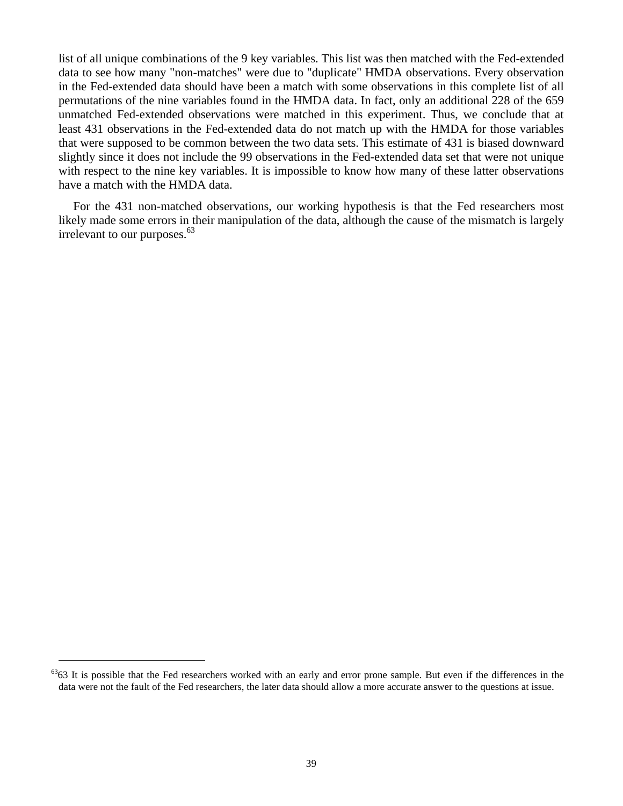list of all unique combinations of the 9 key variables. This list was then matched with the Fed-extended data to see how many "non-matches" were due to "duplicate" HMDA observations. Every observation in the Fed-extended data should have been a match with some observations in this complete list of all permutations of the nine variables found in the HMDA data. In fact, only an additional 228 of the 659 unmatched Fed-extended observations were matched in this experiment. Thus, we conclude that at least 431 observations in the Fed-extended data do not match up with the HMDA for those variables that were supposed to be common between the two data sets. This estimate of 431 is biased downward slightly since it does not include the 99 observations in the Fed-extended data set that were not unique with respect to the nine key variables. It is impossible to know how many of these latter observations have a match with the HMDA data.

For the 431 non-matched observations, our working hypothesis is that the Fed researchers most likely made some errors in their manipulation of the data, although the cause of the mismatch is largely irrelevant to our purposes. $63$ 

 $6363$  It is possible that the Fed researchers worked with an early and error prone sample. But even if the differences in the data were not the fault of the Fed researchers, the later data should allow a more accurate answer to the questions at issue.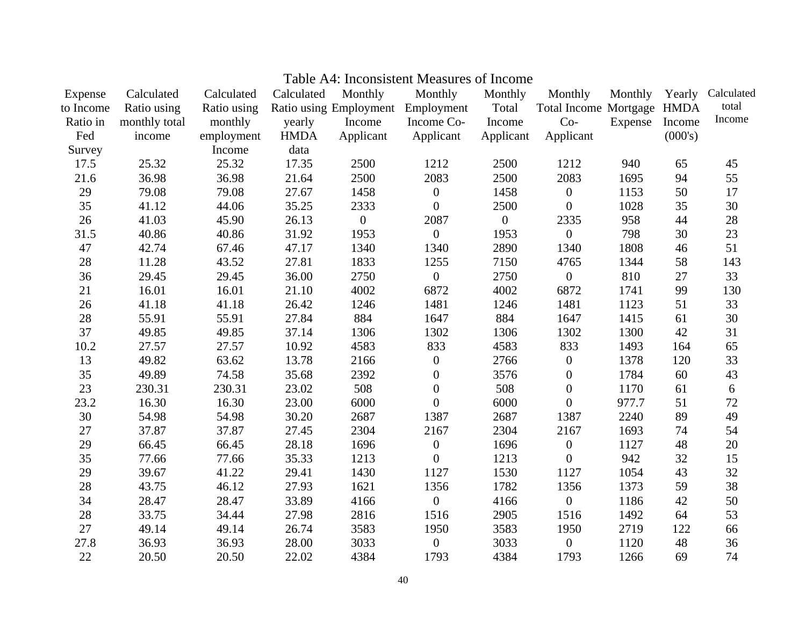| Expense<br>to Income<br>Ratio in<br>Fed | Calculated<br>Ratio using<br>monthly total<br>income | Calculated<br>Ratio using<br>monthly<br>employment | Calculated<br>yearly<br><b>HMDA</b> | Monthly<br>Income<br>Applicant | Monthly<br>Ratio using Employment Employment<br>Income Co-<br>Applicant | Monthly<br>Total<br>Income<br>Applicant | Monthly<br>Total Income Mortgage HMDA<br>$Co-$<br>Applicant | Monthly<br>Expense | Yearly<br>Income<br>(000's) | Calculated<br>total<br>Income |
|-----------------------------------------|------------------------------------------------------|----------------------------------------------------|-------------------------------------|--------------------------------|-------------------------------------------------------------------------|-----------------------------------------|-------------------------------------------------------------|--------------------|-----------------------------|-------------------------------|
| Survey                                  |                                                      | Income                                             | data                                |                                |                                                                         |                                         |                                                             |                    |                             |                               |
| 17.5                                    | 25.32                                                | 25.32                                              | 17.35                               | 2500                           | 1212                                                                    | 2500                                    | 1212                                                        | 940                | 65                          | 45                            |
| 21.6                                    | 36.98                                                | 36.98                                              | 21.64                               | 2500                           | 2083                                                                    | 2500                                    | 2083                                                        | 1695               | 94                          | 55                            |
| 29                                      | 79.08                                                | 79.08                                              | 27.67                               | 1458                           | $\boldsymbol{0}$                                                        | 1458                                    | $\boldsymbol{0}$                                            | 1153               | 50                          | 17                            |
| 35                                      | 41.12                                                | 44.06                                              | 35.25                               | 2333                           | $\overline{0}$                                                          | 2500                                    | $\boldsymbol{0}$                                            | 1028               | 35                          | 30                            |
| 26                                      | 41.03                                                | 45.90                                              | 26.13                               | $\boldsymbol{0}$               | 2087                                                                    | $\boldsymbol{0}$                        | 2335                                                        | 958                | 44                          | 28                            |
| 31.5                                    | 40.86                                                | 40.86                                              | 31.92                               | 1953                           | $\boldsymbol{0}$                                                        | 1953                                    | $\boldsymbol{0}$                                            | 798                | 30                          | 23                            |
| 47                                      | 42.74                                                | 67.46                                              | 47.17                               | 1340                           | 1340                                                                    | 2890                                    | 1340                                                        | 1808               | 46                          | 51                            |
| 28                                      | 11.28                                                | 43.52                                              | 27.81                               | 1833                           | 1255                                                                    | 7150                                    | 4765                                                        | 1344               | 58                          | 143                           |
| 36                                      | 29.45                                                | 29.45                                              | 36.00                               | 2750                           | $\boldsymbol{0}$                                                        | 2750                                    | $\boldsymbol{0}$                                            | 810                | 27                          | 33                            |
| 21                                      | 16.01                                                | 16.01                                              | 21.10                               | 4002                           | 6872                                                                    | 4002                                    | 6872                                                        | 1741               | 99                          | 130                           |
| 26                                      | 41.18                                                | 41.18                                              | 26.42                               | 1246                           | 1481                                                                    | 1246                                    | 1481                                                        | 1123               | 51                          | 33                            |
| 28                                      | 55.91                                                | 55.91                                              | 27.84                               | 884                            | 1647                                                                    | 884                                     | 1647                                                        | 1415               | 61                          | 30                            |
| 37                                      | 49.85                                                | 49.85                                              | 37.14                               | 1306                           | 1302                                                                    | 1306                                    | 1302                                                        | 1300               | 42                          | 31                            |
| 10.2                                    | 27.57                                                | 27.57                                              | 10.92                               | 4583                           | 833                                                                     | 4583                                    | 833                                                         | 1493               | 164                         | 65                            |
| 13                                      | 49.82                                                | 63.62                                              | 13.78                               | 2166                           | $\boldsymbol{0}$                                                        | 2766                                    | $\boldsymbol{0}$                                            | 1378               | 120                         | 33                            |
| 35                                      | 49.89                                                | 74.58                                              | 35.68                               | 2392                           | $\boldsymbol{0}$                                                        | 3576                                    | $\boldsymbol{0}$                                            | 1784               | 60                          | 43                            |
| 23                                      | 230.31                                               | 230.31                                             | 23.02                               | 508                            | $\boldsymbol{0}$                                                        | 508                                     | $\boldsymbol{0}$                                            | 1170               | 61                          | 6                             |
| 23.2                                    | 16.30                                                | 16.30                                              | 23.00                               | 6000                           | $\overline{0}$                                                          | 6000                                    | $\overline{0}$                                              | 977.7              | 51                          | 72                            |
| 30                                      | 54.98                                                | 54.98                                              | 30.20                               | 2687                           | 1387                                                                    | 2687                                    | 1387                                                        | 2240               | 89                          | 49                            |
| 27                                      | 37.87                                                | 37.87                                              | 27.45                               | 2304                           | 2167                                                                    | 2304                                    | 2167                                                        | 1693               | 74                          | 54                            |
| 29                                      | 66.45                                                | 66.45                                              | 28.18                               | 1696                           | $\boldsymbol{0}$                                                        | 1696                                    | $\boldsymbol{0}$                                            | 1127               | 48                          | 20                            |
| 35                                      | 77.66                                                | 77.66                                              | 35.33                               | 1213                           | $\overline{0}$                                                          | 1213                                    | $\overline{0}$                                              | 942                | 32                          | 15                            |
| 29                                      | 39.67                                                | 41.22                                              | 29.41                               | 1430                           | 1127                                                                    | 1530                                    | 1127                                                        | 1054               | 43                          | 32                            |
| 28                                      | 43.75                                                | 46.12                                              | 27.93                               | 1621                           | 1356                                                                    | 1782                                    | 1356                                                        | 1373               | 59                          | 38                            |
| 34                                      | 28.47                                                | 28.47                                              | 33.89                               | 4166                           | $\boldsymbol{0}$                                                        | 4166                                    | $\mathbf{0}$                                                | 1186               | 42                          | 50                            |
| 28                                      | 33.75                                                | 34.44                                              | 27.98                               | 2816                           | 1516                                                                    | 2905                                    | 1516                                                        | 1492               | 64                          | 53                            |
| 27                                      | 49.14                                                | 49.14                                              | 26.74                               | 3583                           | 1950                                                                    | 3583                                    | 1950                                                        | 2719               | 122                         | 66                            |
| 27.8                                    | 36.93                                                | 36.93                                              | 28.00                               | 3033                           | $\boldsymbol{0}$                                                        | 3033                                    | $\boldsymbol{0}$                                            | 1120               | 48                          | 36                            |
| 22                                      | 20.50                                                | 20.50                                              | 22.02                               | 4384                           | 1793                                                                    | 4384                                    | 1793                                                        | 1266               | 69                          | 74                            |

#### Table A4: Inconsistent Measures of Income